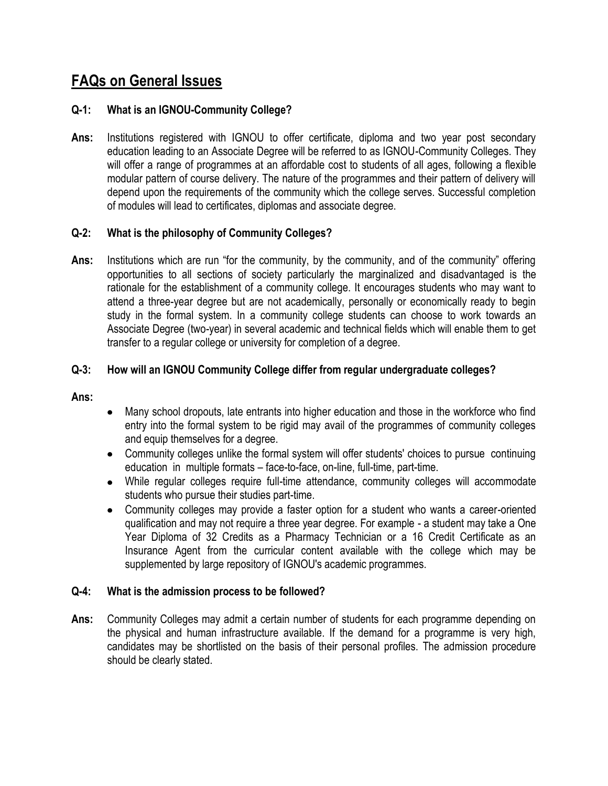# **FAQs on General Issues**

# **Q-1: What is an IGNOU-Community College?**

**Ans:** Institutions registered with IGNOU to offer certificate, diploma and two year post secondary education leading to an Associate Degree will be referred to as IGNOU-Community Colleges. They will offer a range of programmes at an affordable cost to students of all ages, following a flexible modular pattern of course delivery. The nature of the programmes and their pattern of delivery will depend upon the requirements of the community which the college serves. Successful completion of modules will lead to certificates, diplomas and associate degree.

# **Q-2: What is the philosophy of Community Colleges?**

**Ans:** Institutions which are run "for the community, by the community, and of the community" offering opportunities to all sections of society particularly the marginalized and disadvantaged is the rationale for the establishment of a community college. It encourages students who may want to attend a three-year degree but are not academically, personally or economically ready to begin study in the formal system. In a community college students can choose to work towards an Associate Degree (two-year) in several academic and technical fields which will enable them to get transfer to a regular college or university for completion of a degree.

# **Q-3: How will an IGNOU Community College differ from regular undergraduate colleges?**

## **Ans:**

- Many school dropouts, late entrants into higher education and those in the workforce who find entry into the formal system to be rigid may avail of the programmes of community colleges and equip themselves for a degree.
- Community colleges unlike the formal system will offer students' choices to pursue continuing education in multiple formats – face-to-face, on-line, full-time, part-time.
- While regular colleges require full-time attendance, community colleges will accommodate students who pursue their studies part-time.
- Community colleges may provide a faster option for a student who wants a career-oriented qualification and may not require a three year degree. For example - a student may take a One Year Diploma of 32 Credits as a Pharmacy Technician or a 16 Credit Certificate as an Insurance Agent from the curricular content available with the college which may be supplemented by large repository of IGNOU's academic programmes.

# **Q-4: What is the admission process to be followed?**

**Ans:** Community Colleges may admit a certain number of students for each programme depending on the physical and human infrastructure available. If the demand for a programme is very high, candidates may be shortlisted on the basis of their personal profiles. The admission procedure should be clearly stated.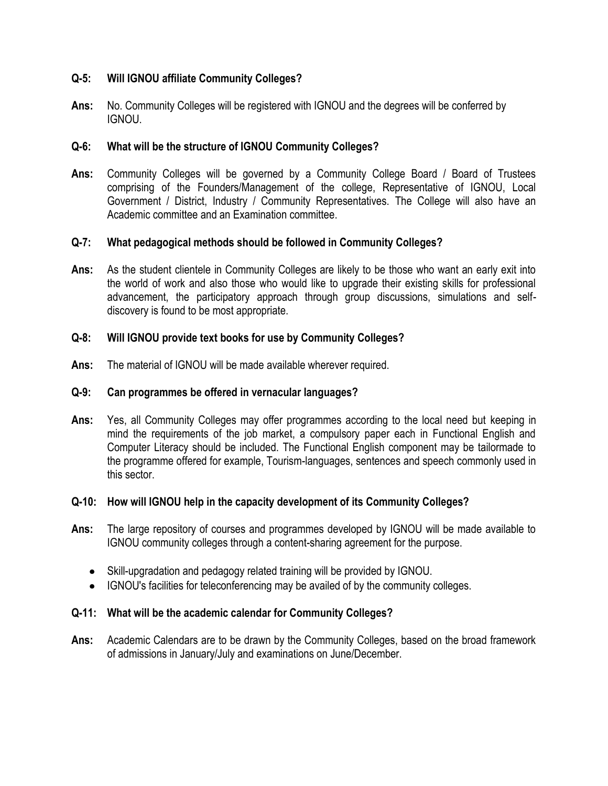# **Q-5: Will IGNOU affiliate Community Colleges?**

**Ans:** No. Community Colleges will be registered with IGNOU and the degrees will be conferred by IGNOU.

# **Q-6: What will be the structure of IGNOU Community Colleges?**

**Ans:** Community Colleges will be governed by a Community College Board / Board of Trustees comprising of the Founders/Management of the college, Representative of IGNOU, Local Government / District, Industry / Community Representatives. The College will also have an Academic committee and an Examination committee.

# **Q-7: What pedagogical methods should be followed in Community Colleges?**

**Ans:** As the student clientele in Community Colleges are likely to be those who want an early exit into the world of work and also those who would like to upgrade their existing skills for professional advancement, the participatory approach through group discussions, simulations and selfdiscovery is found to be most appropriate.

# **Q-8: Will IGNOU provide text books for use by Community Colleges?**

**Ans:** The material of IGNOU will be made available wherever required.

# **Q-9: Can programmes be offered in vernacular languages?**

**Ans:** Yes, all Community Colleges may offer programmes according to the local need but keeping in mind the requirements of the job market, a compulsory paper each in Functional English and Computer Literacy should be included. The Functional English component may be tailormade to the programme offered for example, Tourism-languages, sentences and speech commonly used in this sector.

# **Q-10: How will IGNOU help in the capacity development of its Community Colleges?**

- **Ans:** The large repository of courses and programmes developed by IGNOU will be made available to IGNOU community colleges through a content-sharing agreement for the purpose.
	- Skill-upgradation and pedagogy related training will be provided by IGNOU.
	- IGNOU's facilities for teleconferencing may be availed of by the community colleges.

# **Q-11: What will be the academic calendar for Community Colleges?**

**Ans:** Academic Calendars are to be drawn by the Community Colleges, based on the broad framework of admissions in January/July and examinations on June/December.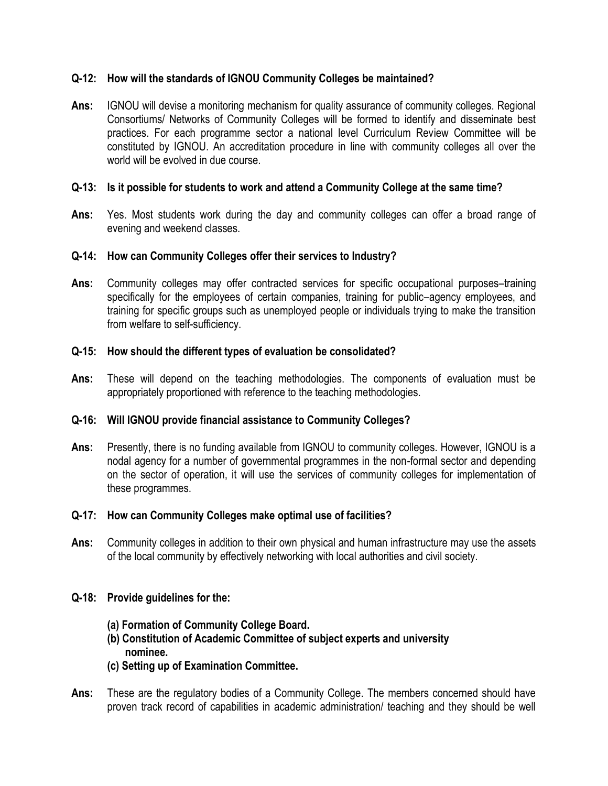# **Q-12: How will the standards of IGNOU Community Colleges be maintained?**

**Ans:** IGNOU will devise a monitoring mechanism for quality assurance of community colleges. Regional Consortiums/ Networks of Community Colleges will be formed to identify and disseminate best practices. For each programme sector a national level Curriculum Review Committee will be constituted by IGNOU. An accreditation procedure in line with community colleges all over the world will be evolved in due course.

# **Q-13: Is it possible for students to work and attend a Community College at the same time?**

**Ans:** Yes. Most students work during the day and community colleges can offer a broad range of evening and weekend classes.

# **Q-14: How can Community Colleges offer their services to Industry?**

**Ans:** Community colleges may offer contracted services for specific occupational purposes–training specifically for the employees of certain companies, training for public–agency employees, and training for specific groups such as unemployed people or individuals trying to make the transition from welfare to self-sufficiency.

# **Q-15: How should the different types of evaluation be consolidated?**

**Ans:** These will depend on the teaching methodologies. The components of evaluation must be appropriately proportioned with reference to the teaching methodologies.

# **Q-16: Will IGNOU provide financial assistance to Community Colleges?**

**Ans:** Presently, there is no funding available from IGNOU to community colleges. However, IGNOU is a nodal agency for a number of governmental programmes in the non-formal sector and depending on the sector of operation, it will use the services of community colleges for implementation of these programmes.

# **Q-17: How can Community Colleges make optimal use of facilities?**

**Ans:** Community colleges in addition to their own physical and human infrastructure may use the assets of the local community by effectively networking with local authorities and civil society.

# **Q-18: Provide guidelines for the:**

- **(a) Formation of Community College Board.**
- **(b) Constitution of Academic Committee of subject experts and university nominee.**
- **(c) Setting up of Examination Committee.**
- **Ans:** These are the regulatory bodies of a Community College. The members concerned should have proven track record of capabilities in academic administration/ teaching and they should be well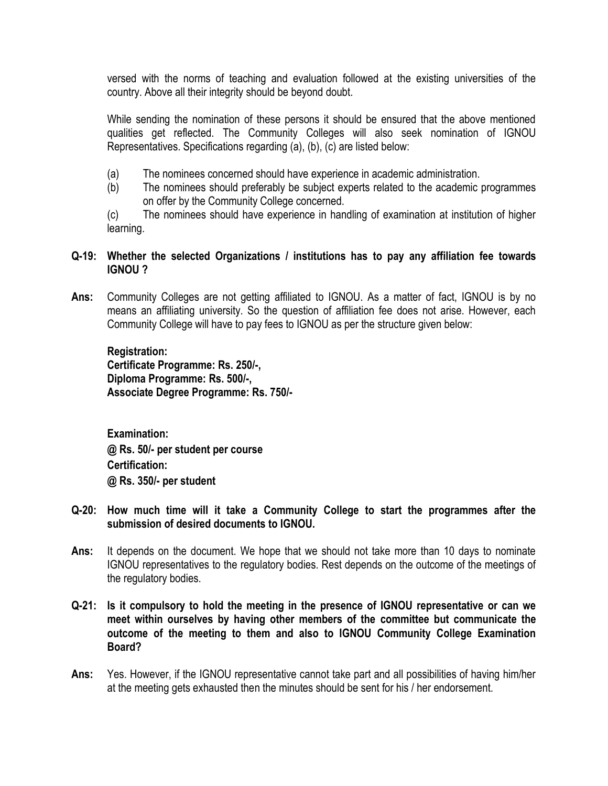versed with the norms of teaching and evaluation followed at the existing universities of the country. Above all their integrity should be beyond doubt.

While sending the nomination of these persons it should be ensured that the above mentioned qualities get reflected. The Community Colleges will also seek nomination of IGNOU Representatives. Specifications regarding (a), (b), (c) are listed below:

- (a) The nominees concerned should have experience in academic administration.
- (b) The nominees should preferably be subject experts related to the academic programmes on offer by the Community College concerned.

(c) The nominees should have experience in handling of examination at institution of higher learning.

# **Q-19: Whether the selected Organizations / institutions has to pay any affiliation fee towards IGNOU ?**

**Ans:** Community Colleges are not getting affiliated to IGNOU. As a matter of fact, IGNOU is by no means an affiliating university. So the question of affiliation fee does not arise. However, each Community College will have to pay fees to IGNOU as per the structure given below:

**Registration: Certificate Programme: Rs. 250/-, Diploma Programme: Rs. 500/-, Associate Degree Programme: Rs. 750/-**

**Examination: @ Rs. 50/- per student per course Certification: @ Rs. 350/- per student**

- **Q-20: How much time will it take a Community College to start the programmes after the submission of desired documents to IGNOU.**
- **Ans:** It depends on the document. We hope that we should not take more than 10 days to nominate IGNOU representatives to the regulatory bodies. Rest depends on the outcome of the meetings of the regulatory bodies.
- **Q-21: Is it compulsory to hold the meeting in the presence of IGNOU representative or can we meet within ourselves by having other members of the committee but communicate the outcome of the meeting to them and also to IGNOU Community College Examination Board?**
- **Ans:** Yes. However, if the IGNOU representative cannot take part and all possibilities of having him/her at the meeting gets exhausted then the minutes should be sent for his / her endorsement.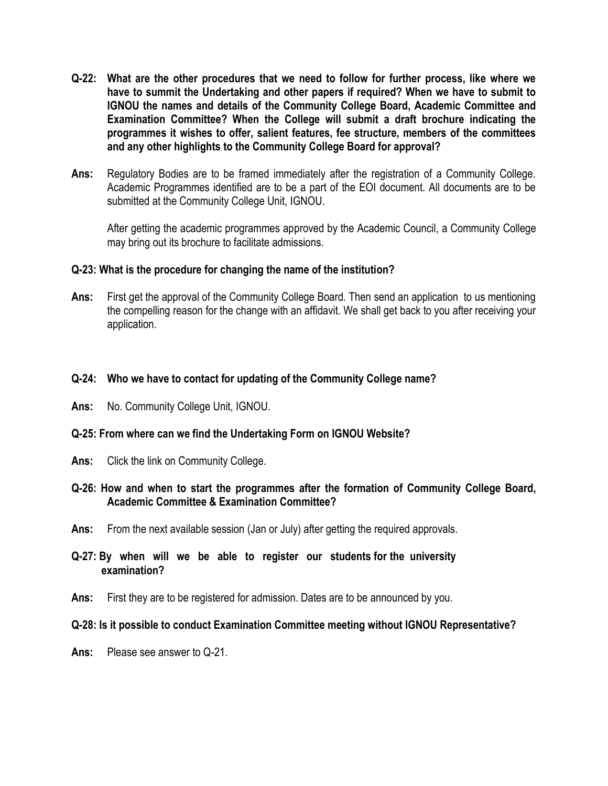- **Q-22: What are the other procedures that we need to follow for further process, like where we have to summit the Undertaking and other papers if required? When we have to submit to IGNOU the names and details of the Community College Board, Academic Committee and Examination Committee? When the College will submit a draft brochure indicating the programmes it wishes to offer, salient features, fee structure, members of the committees and any other highlights to the Community College Board for approval?**
- **Ans:** Regulatory Bodies are to be framed immediately after the registration of a Community College. Academic Programmes identified are to be a part of the EOI document. All documents are to be submitted at the Community College Unit, IGNOU.

After getting the academic programmes approved by the Academic Council, a Community College may bring out its brochure to facilitate admissions.

# **Q-23: What is the procedure for changing the name of the institution?**

**Ans:** First get the approval of the Community College Board. Then send an application to us mentioning the compelling reason for the change with an affidavit. We shall get back to you after receiving your application.

# **Q-24: Who we have to contact for updating of the Community College name?**

**Ans:** No. Community College Unit, IGNOU.

# **Q-25: From where can we find the Undertaking Form on IGNOU Website?**

**Ans:** Click the link on Community College.

# **Q-26: How and when to start the programmes after the formation of Community College Board, Academic Committee & Examination Committee?**

- **Ans:** From the next available session (Jan or July) after getting the required approvals.
- **Q-27: By when will we be able to register our students for the university examination?**
- **Ans:** First they are to be registered for admission. Dates are to be announced by you.

# **Q-28: Is it possible to conduct Examination Committee meeting without IGNOU Representative?**

**Ans:** Please see answer to Q-21.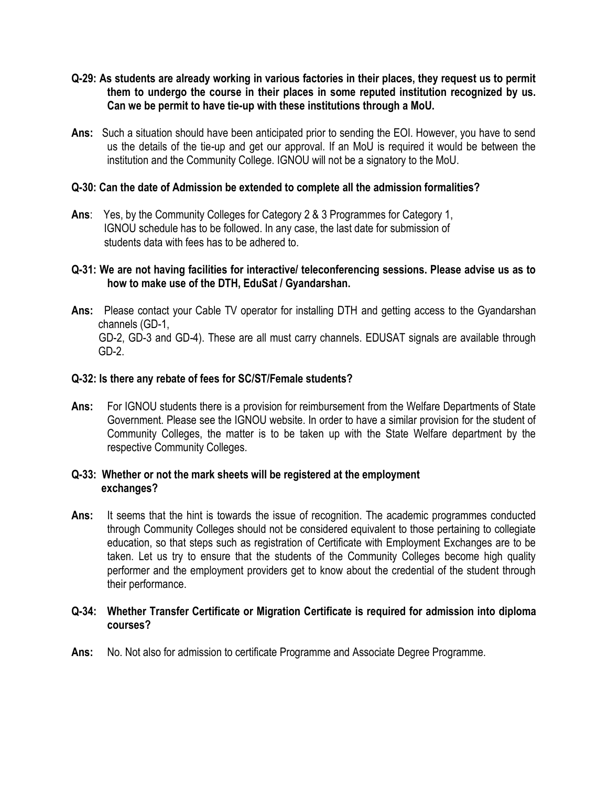- **Q-29: As students are already working in various factories in their places, they request us to permit them to undergo the course in their places in some reputed institution recognized by us. Can we be permit to have tie-up with these institutions through a MoU.**
- **Ans:** Such a situation should have been anticipated prior to sending the EOI. However, you have to send us the details of the tie-up and get our approval. If an MoU is required it would be between the institution and the Community College. IGNOU will not be a signatory to the MoU.

# **Q-30: Can the date of Admission be extended to complete all the admission formalities?**

**Ans**: Yes, by the Community Colleges for Category 2 & 3 Programmes for Category 1, IGNOU schedule has to be followed. In any case, the last date for submission of students data with fees has to be adhered to.

# **Q-31: We are not having facilities for interactive/ teleconferencing sessions. Please advise us as to how to make use of the DTH, EduSat / Gyandarshan.**

**Ans:** Please contact your Cable TV operator for installing DTH and getting access to the Gyandarshan channels (GD-1, GD-2, GD-3 and GD-4). These are all must carry channels. EDUSAT signals are available through GD-2.

# **Q-32: Is there any rebate of fees for SC/ST/Female students?**

**Ans:** For IGNOU students there is a provision for reimbursement from the Welfare Departments of State Government. Please see the IGNOU website. In order to have a similar provision for the student of Community Colleges, the matter is to be taken up with the State Welfare department by the respective Community Colleges.

#### **Q-33: Whether or not the mark sheets will be registered at the employment exchanges?**

**Ans:** It seems that the hint is towards the issue of recognition. The academic programmes conducted through Community Colleges should not be considered equivalent to those pertaining to collegiate education, so that steps such as registration of Certificate with Employment Exchanges are to be taken. Let us try to ensure that the students of the Community Colleges become high quality performer and the employment providers get to know about the credential of the student through their performance.

# **Q-34: Whether Transfer Certificate or Migration Certificate is required for admission into diploma courses?**

**Ans:** No. Not also for admission to certificate Programme and Associate Degree Programme.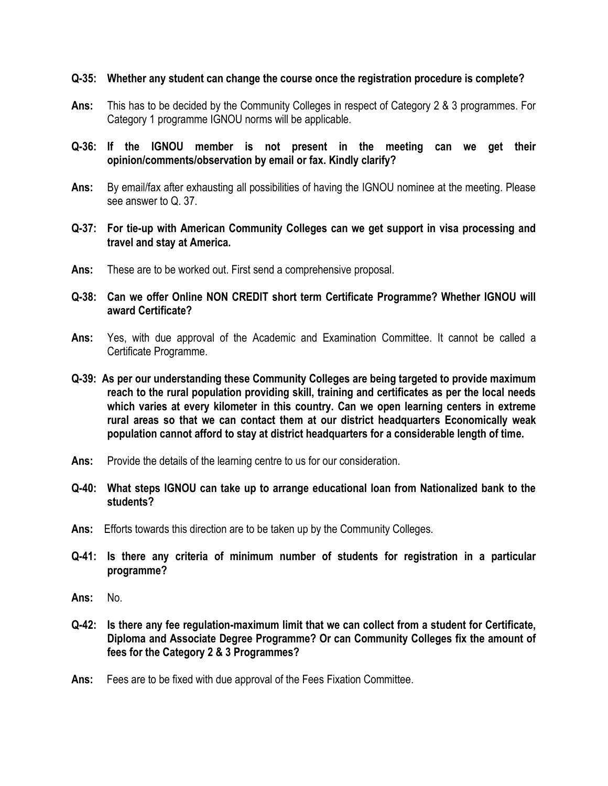# **Q-35: Whether any student can change the course once the registration procedure is complete?**

- **Ans:** This has to be decided by the Community Colleges in respect of Category 2 & 3 programmes. For Category 1 programme IGNOU norms will be applicable.
- **Q-36: If the IGNOU member is not present in the meeting can we get their opinion/comments/observation by email or fax. Kindly clarify?**
- Ans: By email/fax after exhausting all possibilities of having the IGNOU nominee at the meeting. Please see answer to Q. 37.
- **Q-37: For tie-up with American Community Colleges can we get support in visa processing and travel and stay at America.**
- **Ans:** These are to be worked out. First send a comprehensive proposal.
- **Q-38: Can we offer Online NON CREDIT short term Certificate Programme? Whether IGNOU will award Certificate?**
- **Ans:** Yes, with due approval of the Academic and Examination Committee. It cannot be called a Certificate Programme.
- **Q-39: As per our understanding these Community Colleges are being targeted to provide maximum reach to the rural population providing skill, training and certificates as per the local needs which varies at every kilometer in this country. Can we open learning centers in extreme rural areas so that we can contact them at our district headquarters Economically weak population cannot afford to stay at district headquarters for a considerable length of time.**
- **Ans:** Provide the details of the learning centre to us for our consideration.
- **Q-40: What steps IGNOU can take up to arrange educational loan from Nationalized bank to the students?**
- **Ans:** Efforts towards this direction are to be taken up by the Community Colleges.
- **Q-41: Is there any criteria of minimum number of students for registration in a particular programme?**
- **Ans:** No.
- **Q-42: Is there any fee regulation-maximum limit that we can collect from a student for Certificate, Diploma and Associate Degree Programme? Or can Community Colleges fix the amount of fees for the Category 2 & 3 Programmes?**
- **Ans:** Fees are to be fixed with due approval of the Fees Fixation Committee.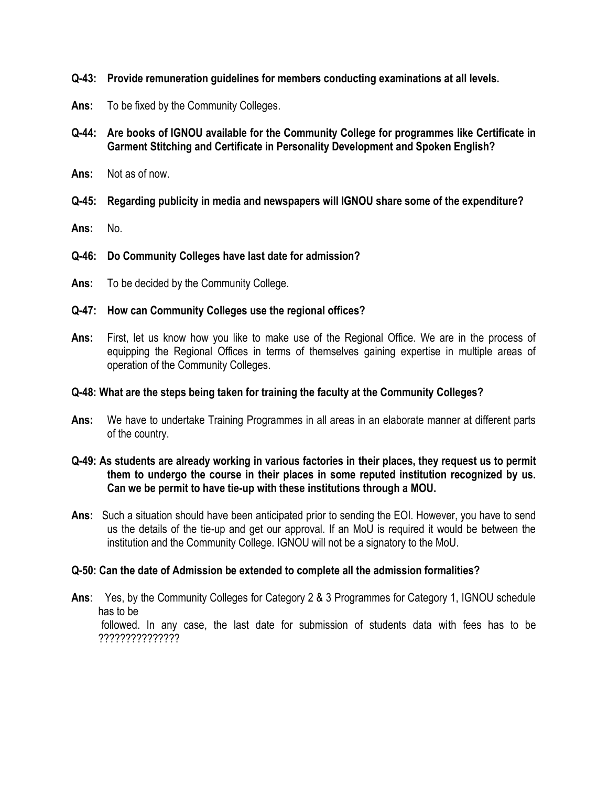- **Q-43: Provide remuneration guidelines for members conducting examinations at all levels.**
- **Ans:** To be fixed by the Community Colleges.
- **Q-44: Are books of IGNOU available for the Community College for programmes like Certificate in Garment Stitching and Certificate in Personality Development and Spoken English?**
- **Ans:** Not as of now.
- **Q-45: Regarding publicity in media and newspapers will IGNOU share some of the expenditure?**
- **Ans:** No.
- **Q-46: Do Community Colleges have last date for admission?**
- **Ans:** To be decided by the Community College.

#### **Q-47: How can Community Colleges use the regional offices?**

**Ans:** First, let us know how you like to make use of the Regional Office. We are in the process of equipping the Regional Offices in terms of themselves gaining expertise in multiple areas of operation of the Community Colleges.

## **Q-48: What are the steps being taken for training the faculty at the Community Colleges?**

**Ans:** We have to undertake Training Programmes in all areas in an elaborate manner at different parts of the country.

# **Q-49: As students are already working in various factories in their places, they request us to permit them to undergo the course in their places in some reputed institution recognized by us. Can we be permit to have tie-up with these institutions through a MOU.**

**Ans:** Such a situation should have been anticipated prior to sending the EOI. However, you have to send us the details of the tie-up and get our approval. If an MoU is required it would be between the institution and the Community College. IGNOU will not be a signatory to the MoU.

#### **Q-50: Can the date of Admission be extended to complete all the admission formalities?**

**Ans**: Yes, by the Community Colleges for Category 2 & 3 Programmes for Category 1, IGNOU schedule has to be followed. In any case, the last date for submission of students data with fees has to be ???????????????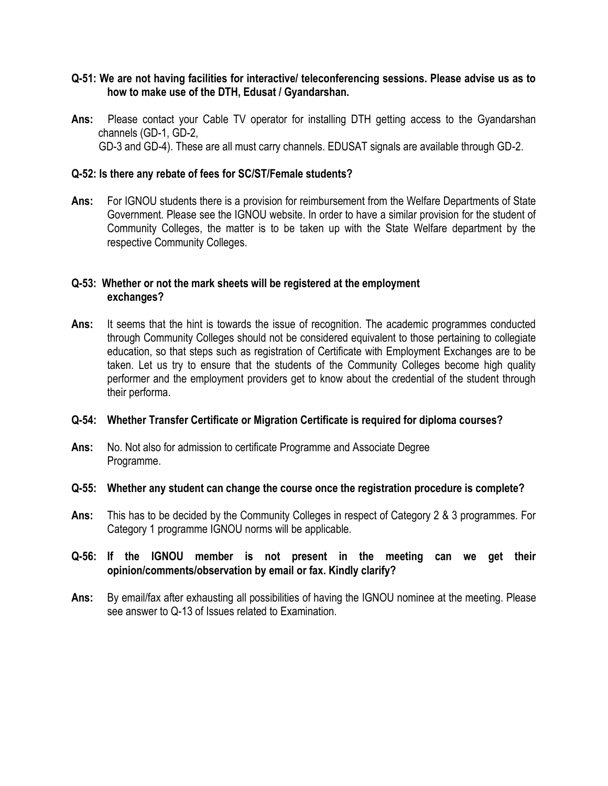## **Q-51: We are not having facilities for interactive/ teleconferencing sessions. Please advise us as to how to make use of the DTH, Edusat / Gyandarshan.**

**Ans:** Please contact your Cable TV operator for installing DTH getting access to the Gyandarshan channels (GD-1, GD-2, GD-3 and GD-4). These are all must carry channels. EDUSAT signals are available through GD-2.

## **Q-52: Is there any rebate of fees for SC/ST/Female students?**

**Ans:** For IGNOU students there is a provision for reimbursement from the Welfare Departments of State Government. Please see the IGNOU website. In order to have a similar provision for the student of Community Colleges, the matter is to be taken up with the State Welfare department by the respective Community Colleges.

# **Q-53: Whether or not the mark sheets will be registered at the employment exchanges?**

**Ans:** It seems that the hint is towards the issue of recognition. The academic programmes conducted through Community Colleges should not be considered equivalent to those pertaining to collegiate education, so that steps such as registration of Certificate with Employment Exchanges are to be taken. Let us try to ensure that the students of the Community Colleges become high quality performer and the employment providers get to know about the credential of the student through their performa.

#### **Q-54: Whether Transfer Certificate or Migration Certificate is required for diploma courses?**

**Ans:** No. Not also for admission to certificate Programme and Associate Degree Programme.

# **Q-55: Whether any student can change the course once the registration procedure is complete?**

**Ans:** This has to be decided by the Community Colleges in respect of Category 2 & 3 programmes. For Category 1 programme IGNOU norms will be applicable.

# **Q-56: If the IGNOU member is not present in the meeting can we get their opinion/comments/observation by email or fax. Kindly clarify?**

**Ans:** By email/fax after exhausting all possibilities of having the IGNOU nominee at the meeting. Please see answer to Q-13 of Issues related to Examination.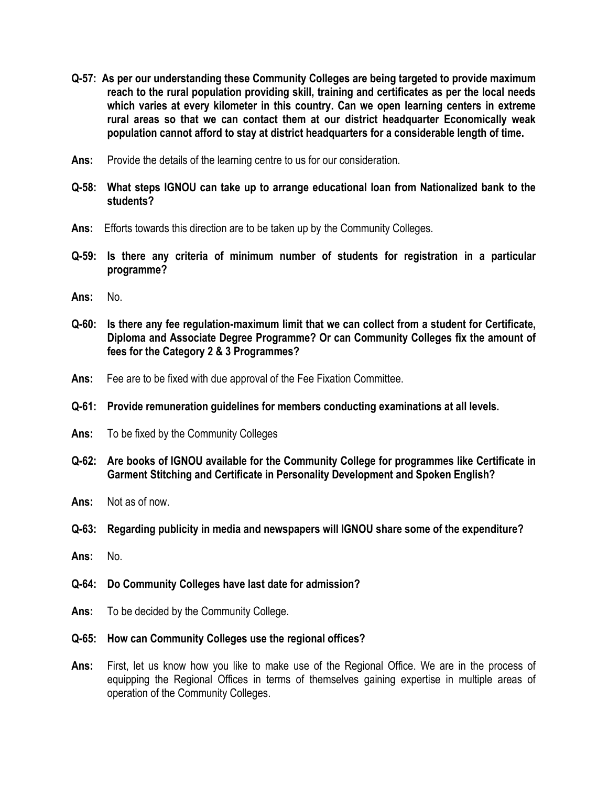- **Q-57: As per our understanding these Community Colleges are being targeted to provide maximum reach to the rural population providing skill, training and certificates as per the local needs which varies at every kilometer in this country. Can we open learning centers in extreme rural areas so that we can contact them at our district headquarter Economically weak population cannot afford to stay at district headquarters for a considerable length of time.**
- **Ans:** Provide the details of the learning centre to us for our consideration.
- **Q-58: What steps IGNOU can take up to arrange educational loan from Nationalized bank to the students?**
- **Ans:** Efforts towards this direction are to be taken up by the Community Colleges.
- **Q-59: Is there any criteria of minimum number of students for registration in a particular programme?**
- **Ans:** No.
- **Q-60: Is there any fee regulation-maximum limit that we can collect from a student for Certificate, Diploma and Associate Degree Programme? Or can Community Colleges fix the amount of fees for the Category 2 & 3 Programmes?**
- **Ans:** Fee are to be fixed with due approval of the Fee Fixation Committee.
- **Q-61: Provide remuneration guidelines for members conducting examinations at all levels.**
- **Ans:** To be fixed by the Community Colleges
- **Q-62: Are books of IGNOU available for the Community College for programmes like Certificate in Garment Stitching and Certificate in Personality Development and Spoken English?**
- **Ans:** Not as of now.
- **Q-63: Regarding publicity in media and newspapers will IGNOU share some of the expenditure?**
- **Ans:** No.
- **Q-64: Do Community Colleges have last date for admission?**
- **Ans:** To be decided by the Community College.
- **Q-65: How can Community Colleges use the regional offices?**
- **Ans:** First, let us know how you like to make use of the Regional Office. We are in the process of equipping the Regional Offices in terms of themselves gaining expertise in multiple areas of operation of the Community Colleges.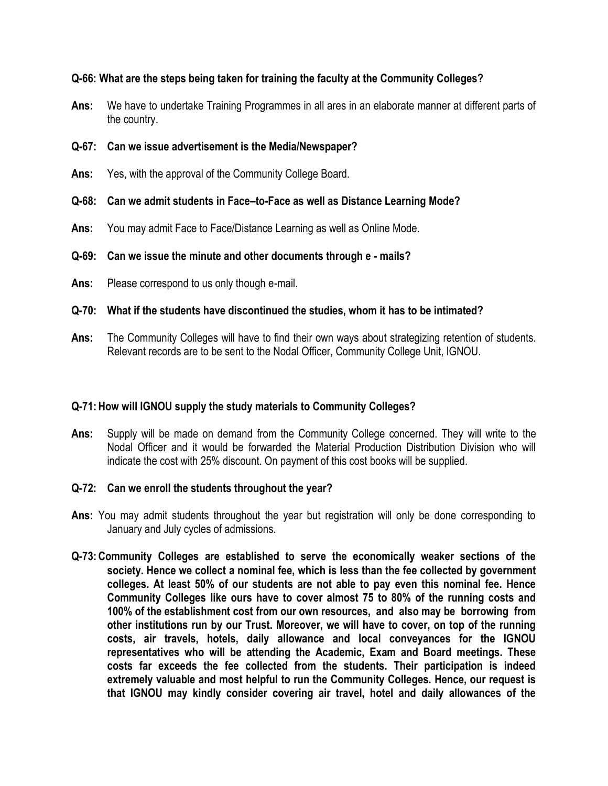# **Q-66: What are the steps being taken for training the faculty at the Community Colleges?**

- **Ans:** We have to undertake Training Programmes in all ares in an elaborate manner at different parts of the country.
- **Q-67: Can we issue advertisement is the Media/Newspaper?**
- **Ans:** Yes, with the approval of the Community College Board.

# **Q-68: Can we admit students in Face–to-Face as well as Distance Learning Mode?**

**Ans:** You may admit Face to Face/Distance Learning as well as Online Mode.

# **Q-69: Can we issue the minute and other documents through e - mails?**

- **Ans:** Please correspond to us only though e-mail.
- **Q-70: What if the students have discontinued the studies, whom it has to be intimated?**
- **Ans:** The Community Colleges will have to find their own ways about strategizing retention of students. Relevant records are to be sent to the Nodal Officer, Community College Unit, IGNOU.

#### **Q-71:How will IGNOU supply the study materials to Community Colleges?**

**Ans:** Supply will be made on demand from the Community College concerned. They will write to the Nodal Officer and it would be forwarded the Material Production Distribution Division who will indicate the cost with 25% discount. On payment of this cost books will be supplied.

#### **Q-72: Can we enroll the students throughout the year?**

- **Ans:** You may admit students throughout the year but registration will only be done corresponding to January and July cycles of admissions.
- **Q-73:Community Colleges are established to serve the economically weaker sections of the society. Hence we collect a nominal fee, which is less than the fee collected by government colleges. At least 50% of our students are not able to pay even this nominal fee. Hence Community Colleges like ours have to cover almost 75 to 80% of the running costs and 100% of the establishment cost from our own resources, and also may be borrowing from other institutions run by our Trust. Moreover, we will have to cover, on top of the running costs, air travels, hotels, daily allowance and local conveyances for the IGNOU representatives who will be attending the Academic, Exam and Board meetings. These costs far exceeds the fee collected from the students. Their participation is indeed extremely valuable and most helpful to run the Community Colleges. Hence, our request is that IGNOU may kindly consider covering air travel, hotel and daily allowances of the**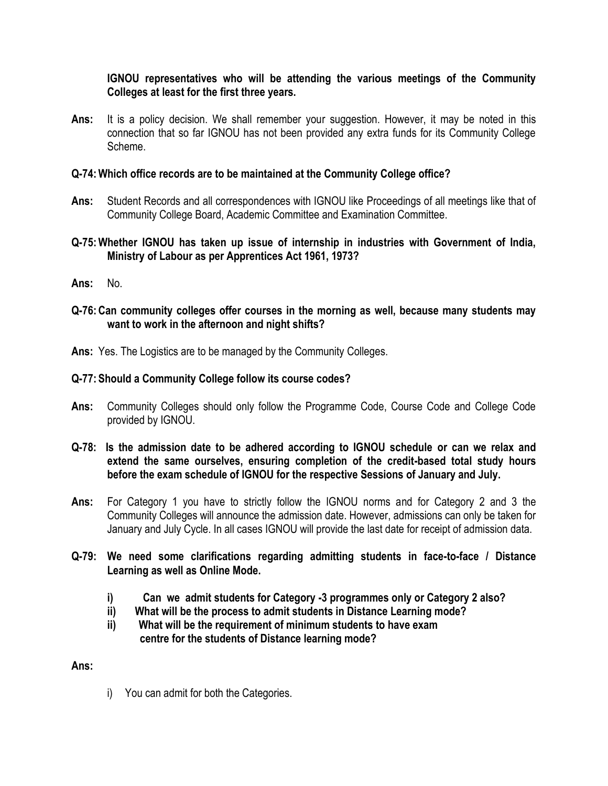# **IGNOU representatives who will be attending the various meetings of the Community Colleges at least for the first three years.**

**Ans:** It is a policy decision. We shall remember your suggestion. However, it may be noted in this connection that so far IGNOU has not been provided any extra funds for its Community College Scheme.

# **Q-74:Which office records are to be maintained at the Community College office?**

- **Ans:** Student Records and all correspondences with IGNOU like Proceedings of all meetings like that of Community College Board, Academic Committee and Examination Committee.
- **Q-75:Whether IGNOU has taken up issue of internship in industries with Government of India, Ministry of Labour as per Apprentices Act 1961, 1973?**
- **Ans:** No.
- **Q-76:Can community colleges offer courses in the morning as well, because many students may want to work in the afternoon and night shifts?**
- **Ans:** Yes. The Logistics are to be managed by the Community Colleges.

# **Q-77: Should a Community College follow its course codes?**

- **Ans:** Community Colleges should only follow the Programme Code, Course Code and College Code provided by IGNOU.
- **Q-78: Is the admission date to be adhered according to IGNOU schedule or can we relax and extend the same ourselves, ensuring completion of the credit-based total study hours before the exam schedule of IGNOU for the respective Sessions of January and July.**
- **Ans:** For Category 1 you have to strictly follow the IGNOU norms and for Category 2 and 3 the Community Colleges will announce the admission date. However, admissions can only be taken for January and July Cycle. In all cases IGNOU will provide the last date for receipt of admission data.
- **Q-79: We need some clarifications regarding admitting students in face-to-face / Distance Learning as well as Online Mode.**
	- **i) Can we admit students for Category -3 programmes only or Category 2 also?**
	- **ii) What will be the process to admit students in Distance Learning mode?**
	- **ii) What will be the requirement of minimum students to have exam centre for the students of Distance learning mode?**

**Ans:**

i) You can admit for both the Categories.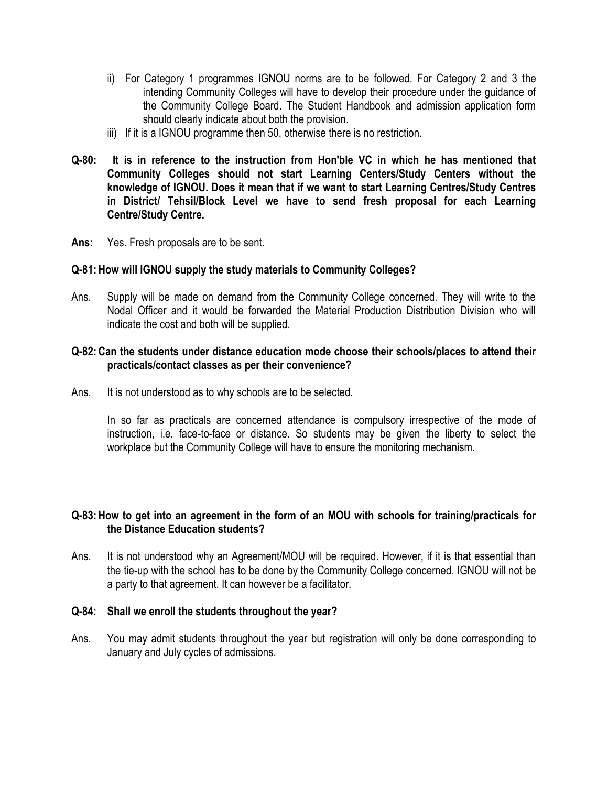- ii) For Category 1 programmes IGNOU norms are to be followed. For Category 2 and 3 the intending Community Colleges will have to develop their procedure under the guidance of the Community College Board. The Student Handbook and admission application form should clearly indicate about both the provision.
- iii) If it is a IGNOU programme then 50, otherwise there is no restriction.
- **Q-80: It is in reference to the instruction from Hon'ble VC in which he has mentioned that Community Colleges should not start Learning Centers/Study Centers without the knowledge of IGNOU. Does it mean that if we want to start Learning Centres/Study Centres in District/ Tehsil/Block Level we have to send fresh proposal for each Learning Centre/Study Centre.**
- **Ans:** Yes. Fresh proposals are to be sent.

# **Q-81:How will IGNOU supply the study materials to Community Colleges?**

Ans. Supply will be made on demand from the Community College concerned. They will write to the Nodal Officer and it would be forwarded the Material Production Distribution Division who will indicate the cost and both will be supplied.

## **Q-82:Can the students under distance education mode choose their schools/places to attend their practicals/contact classes as per their convenience?**

Ans. It is not understood as to why schools are to be selected.

In so far as practicals are concerned attendance is compulsory irrespective of the mode of instruction, i.e. face-to-face or distance. So students may be given the liberty to select the workplace but the Community College will have to ensure the monitoring mechanism.

# **Q-83:How to get into an agreement in the form of an MOU with schools for training/practicals for the Distance Education students?**

Ans. It is not understood why an Agreement/MOU will be required. However, if it is that essential than the tie-up with the school has to be done by the Community College concerned. IGNOU will not be a party to that agreement. It can however be a facilitator.

## **Q-84: Shall we enroll the students throughout the year?**

Ans. You may admit students throughout the year but registration will only be done corresponding to January and July cycles of admissions.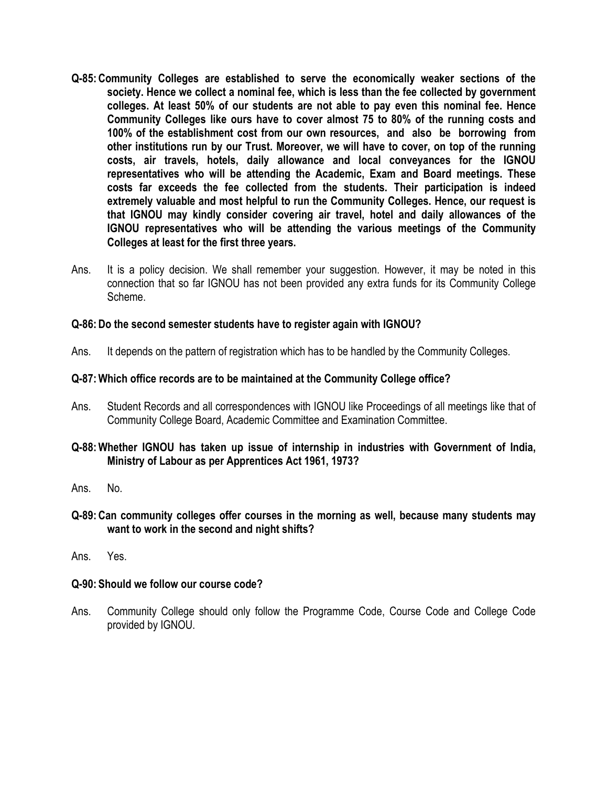- **Q-85:Community Colleges are established to serve the economically weaker sections of the society. Hence we collect a nominal fee, which is less than the fee collected by government colleges. At least 50% of our students are not able to pay even this nominal fee. Hence Community Colleges like ours have to cover almost 75 to 80% of the running costs and 100% of the establishment cost from our own resources, and also be borrowing from other institutions run by our Trust. Moreover, we will have to cover, on top of the running costs, air travels, hotels, daily allowance and local conveyances for the IGNOU representatives who will be attending the Academic, Exam and Board meetings. These costs far exceeds the fee collected from the students. Their participation is indeed extremely valuable and most helpful to run the Community Colleges. Hence, our request is that IGNOU may kindly consider covering air travel, hotel and daily allowances of the IGNOU representatives who will be attending the various meetings of the Community Colleges at least for the first three years.**
- Ans. It is a policy decision. We shall remember your suggestion. However, it may be noted in this connection that so far IGNOU has not been provided any extra funds for its Community College Scheme.

# **Q-86:Do the second semester students have to register again with IGNOU?**

Ans. It depends on the pattern of registration which has to be handled by the Community Colleges.

# **Q-87:Which office records are to be maintained at the Community College office?**

- Ans. Student Records and all correspondences with IGNOU like Proceedings of all meetings like that of Community College Board, Academic Committee and Examination Committee.
- **Q-88:Whether IGNOU has taken up issue of internship in industries with Government of India, Ministry of Labour as per Apprentices Act 1961, 1973?**
- Ans. No.
- **Q-89:Can community colleges offer courses in the morning as well, because many students may want to work in the second and night shifts?**
- Ans. Yes.

#### **Q-90: Should we follow our course code?**

Ans. Community College should only follow the Programme Code, Course Code and College Code provided by IGNOU.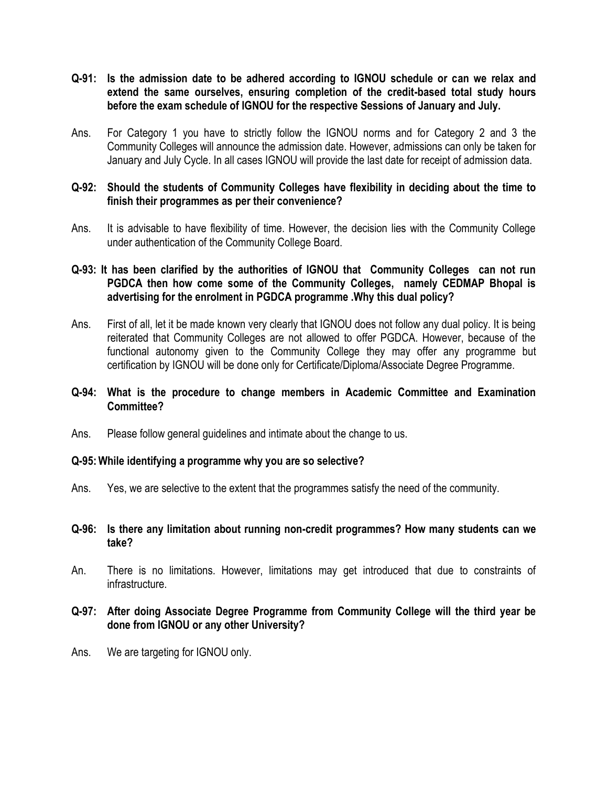- **Q-91: Is the admission date to be adhered according to IGNOU schedule or can we relax and extend the same ourselves, ensuring completion of the credit-based total study hours before the exam schedule of IGNOU for the respective Sessions of January and July.**
- Ans. For Category 1 you have to strictly follow the IGNOU norms and for Category 2 and 3 the Community Colleges will announce the admission date. However, admissions can only be taken for January and July Cycle. In all cases IGNOU will provide the last date for receipt of admission data.

# **Q-92: Should the students of Community Colleges have flexibility in deciding about the time to finish their programmes as per their convenience?**

Ans. It is advisable to have flexibility of time. However, the decision lies with the Community College under authentication of the Community College Board.

# **Q-93: It has been clarified by the authorities of IGNOU that Community Colleges can not run PGDCA then how come some of the Community Colleges, namely CEDMAP Bhopal is advertising for the enrolment in PGDCA programme .Why this dual policy?**

Ans. First of all, let it be made known very clearly that IGNOU does not follow any dual policy. It is being reiterated that Community Colleges are not allowed to offer PGDCA. However, because of the functional autonomy given to the Community College they may offer any programme but certification by IGNOU will be done only for Certificate/Diploma/Associate Degree Programme.

## **Q-94: What is the procedure to change members in Academic Committee and Examination Committee?**

Ans. Please follow general guidelines and intimate about the change to us.

#### **Q-95:While identifying a programme why you are so selective?**

- Ans. Yes, we are selective to the extent that the programmes satisfy the need of the community.
- **Q-96: Is there any limitation about running non-credit programmes? How many students can we take?**
- An. There is no limitations. However, limitations may get introduced that due to constraints of infrastructure.

### **Q-97: After doing Associate Degree Programme from Community College will the third year be done from IGNOU or any other University?**

Ans. We are targeting for IGNOU only.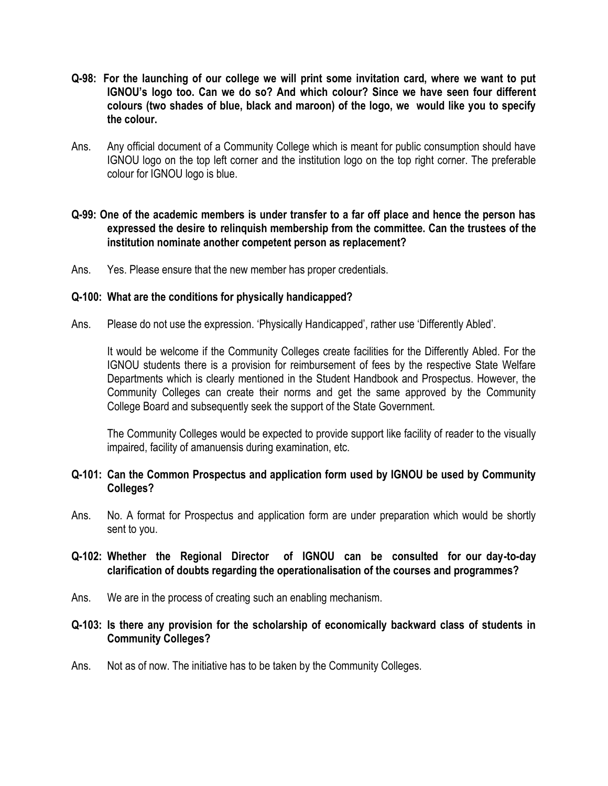- **Q-98: For the launching of our college we will print some invitation card, where we want to put IGNOU's logo too. Can we do so? And which colour? Since we have seen four different colours (two shades of blue, black and maroon) of the logo, we would like you to specify the colour.**
- Ans. Any official document of a Community College which is meant for public consumption should have IGNOU logo on the top left corner and the institution logo on the top right corner. The preferable colour for IGNOU logo is blue.

# **Q-99: One of the academic members is under transfer to a far off place and hence the person has expressed the desire to relinquish membership from the committee. Can the trustees of the institution nominate another competent person as replacement?**

Ans. Yes. Please ensure that the new member has proper credentials.

#### **Q-100: What are the conditions for physically handicapped?**

Ans. Please do not use the expression. 'Physically Handicapped', rather use 'Differently Abled'.

It would be welcome if the Community Colleges create facilities for the Differently Abled. For the IGNOU students there is a provision for reimbursement of fees by the respective State Welfare Departments which is clearly mentioned in the Student Handbook and Prospectus. However, the Community Colleges can create their norms and get the same approved by the Community College Board and subsequently seek the support of the State Government.

The Community Colleges would be expected to provide support like facility of reader to the visually impaired, facility of amanuensis during examination, etc.

### **Q-101: Can the Common Prospectus and application form used by IGNOU be used by Community Colleges?**

Ans. No. A format for Prospectus and application form are under preparation which would be shortly sent to you.

# **Q-102: Whether the Regional Director of IGNOU can be consulted for our day-to-day clarification of doubts regarding the operationalisation of the courses and programmes?**

Ans. We are in the process of creating such an enabling mechanism.

# **Q-103: Is there any provision for the scholarship of economically backward class of students in Community Colleges?**

Ans. Not as of now. The initiative has to be taken by the Community Colleges.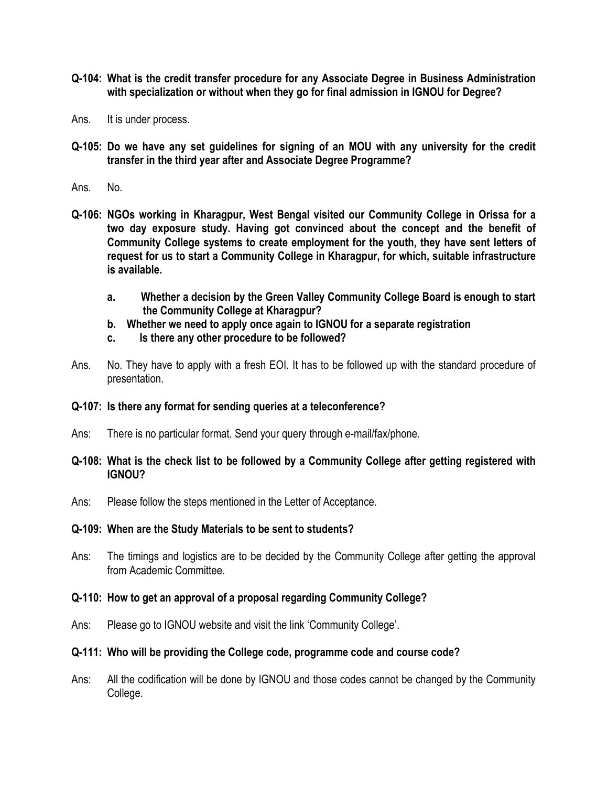- **Q-104: What is the credit transfer procedure for any Associate Degree in Business Administration with specialization or without when they go for final admission in IGNOU for Degree?**
- Ans. It is under process.
- **Q-105: Do we have any set guidelines for signing of an MOU with any university for the credit transfer in the third year after and Associate Degree Programme?**
- Ans. No.
- **Q-106: NGOs working in Kharagpur, West Bengal visited our Community College in Orissa for a two day exposure study. Having got convinced about the concept and the benefit of Community College systems to create employment for the youth, they have sent letters of request for us to start a Community College in Kharagpur, for which, suitable infrastructure is available.**
	- **a. Whether a decision by the Green Valley Community College Board is enough to start the Community College at Kharagpur?**
	- **b. Whether we need to apply once again to IGNOU for a separate registration**
	- **c. Is there any other procedure to be followed?**
- Ans. No. They have to apply with a fresh EOI. It has to be followed up with the standard procedure of presentation.

#### **Q-107: Is there any format for sending queries at a teleconference?**

- Ans: There is no particular format. Send your query through e-mail/fax/phone.
- **Q-108: What is the check list to be followed by a Community College after getting registered with IGNOU?**
- Ans: Please follow the steps mentioned in the Letter of Acceptance.

#### **Q-109: When are the Study Materials to be sent to students?**

Ans: The timings and logistics are to be decided by the Community College after getting the approval from Academic Committee.

#### **Q-110: How to get an approval of a proposal regarding Community College?**

Ans: Please go to IGNOU website and visit the link "Community College".

#### **Q-111: Who will be providing the College code, programme code and course code?**

Ans: All the codification will be done by IGNOU and those codes cannot be changed by the Community College.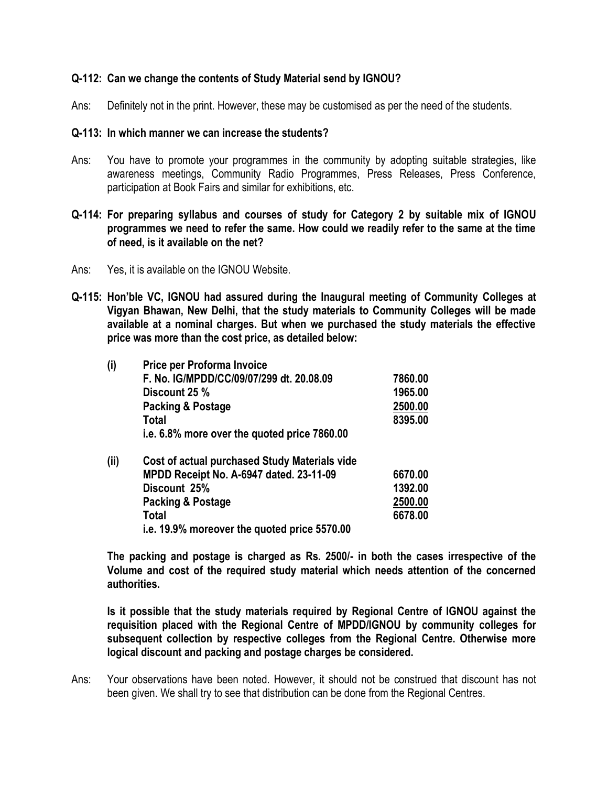# **Q-112: Can we change the contents of Study Material send by IGNOU?**

Ans: Definitely not in the print. However, these may be customised as per the need of the students.

#### **Q-113: In which manner we can increase the students?**

Ans: You have to promote your programmes in the community by adopting suitable strategies, like awareness meetings, Community Radio Programmes, Press Releases, Press Conference, participation at Book Fairs and similar for exhibitions, etc.

# **Q-114: For preparing syllabus and courses of study for Category 2 by suitable mix of IGNOU programmes we need to refer the same. How could we readily refer to the same at the time of need, is it available on the net?**

- Ans: Yes, it is available on the IGNOU Website.
- **Q-115: Hon'ble VC, IGNOU had assured during the Inaugural meeting of Community Colleges at Vigyan Bhawan, New Delhi, that the study materials to Community Colleges will be made available at a nominal charges. But when we purchased the study materials the effective price was more than the cost price, as detailed below:**

| (i)  | Price per Proforma Invoice                    |         |
|------|-----------------------------------------------|---------|
|      | F. No. IG/MPDD/CC/09/07/299 dt. 20.08.09      | 7860.00 |
|      | Discount 25 %                                 | 1965.00 |
|      | Packing & Postage                             | 2500.00 |
|      | Total                                         | 8395.00 |
|      | i.e. 6.8% more over the quoted price 7860.00  |         |
| (ii) | Cost of actual purchased Study Materials vide |         |
|      | MPDD Receipt No. A-6947 dated. 23-11-09       | 6670.00 |
|      | Discount 25%                                  | 1392.00 |
|      | Packing & Postage                             | 2500.00 |
|      | <b>Total</b>                                  | 6678.00 |
|      | i.e. 19.9% moreover the quoted price 5570.00  |         |

**The packing and postage is charged as Rs. 2500/- in both the cases irrespective of the Volume and cost of the required study material which needs attention of the concerned authorities.**

**Is it possible that the study materials required by Regional Centre of IGNOU against the requisition placed with the Regional Centre of MPDD/IGNOU by community colleges for subsequent collection by respective colleges from the Regional Centre. Otherwise more logical discount and packing and postage charges be considered.**

Ans: Your observations have been noted. However, it should not be construed that discount has not been given. We shall try to see that distribution can be done from the Regional Centres.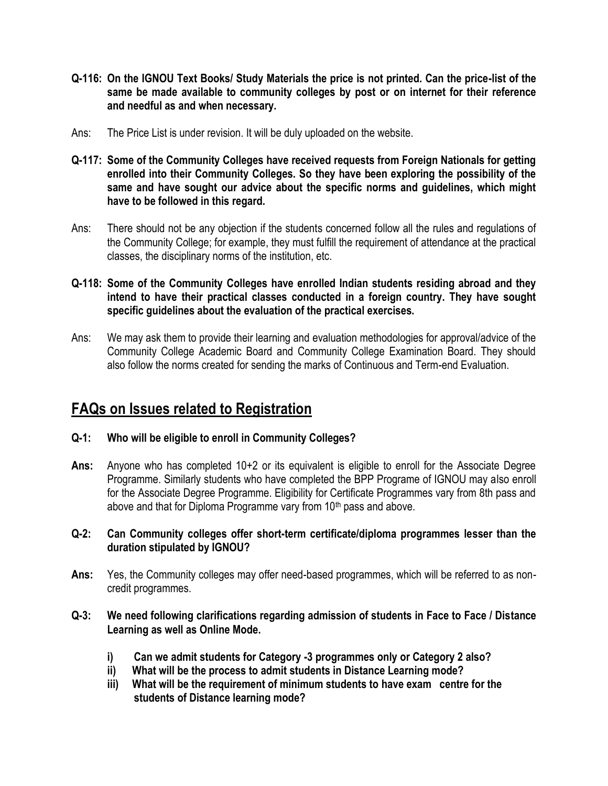- **Q-116: On the IGNOU Text Books/ Study Materials the price is not printed. Can the price-list of the same be made available to community colleges by post or on internet for their reference and needful as and when necessary.**
- Ans: The Price List is under revision. It will be duly uploaded on the website.
- **Q-117: Some of the Community Colleges have received requests from Foreign Nationals for getting enrolled into their Community Colleges. So they have been exploring the possibility of the same and have sought our advice about the specific norms and guidelines, which might have to be followed in this regard.**
- Ans: There should not be any objection if the students concerned follow all the rules and regulations of the Community College; for example, they must fulfill the requirement of attendance at the practical classes, the disciplinary norms of the institution, etc.
- **Q-118: Some of the Community Colleges have enrolled Indian students residing abroad and they intend to have their practical classes conducted in a foreign country. They have sought specific guidelines about the evaluation of the practical exercises.**
- Ans: We may ask them to provide their learning and evaluation methodologies for approval/advice of the Community College Academic Board and Community College Examination Board. They should also follow the norms created for sending the marks of Continuous and Term-end Evaluation.

# **FAQs on Issues related to Registration**

- **Q-1: Who will be eligible to enroll in Community Colleges?**
- **Ans:** Anyone who has completed 10+2 or its equivalent is eligible to enroll for the Associate Degree Programme. Similarly students who have completed the BPP Programe of IGNOU may also enroll for the Associate Degree Programme. Eligibility for Certificate Programmes vary from 8th pass and above and that for Diploma Programme vary from 10<sup>th</sup> pass and above.
- **Q-2: Can Community colleges offer short-term certificate/diploma programmes lesser than the duration stipulated by IGNOU?**
- **Ans:** Yes, the Community colleges may offer need-based programmes, which will be referred to as noncredit programmes.
- **Q-3: We need following clarifications regarding admission of students in Face to Face / Distance Learning as well as Online Mode.**
	- **i) Can we admit students for Category -3 programmes only or Category 2 also?**
	- **ii) What will be the process to admit students in Distance Learning mode?**
	- **iii) What will be the requirement of minimum students to have exam centre for the students of Distance learning mode?**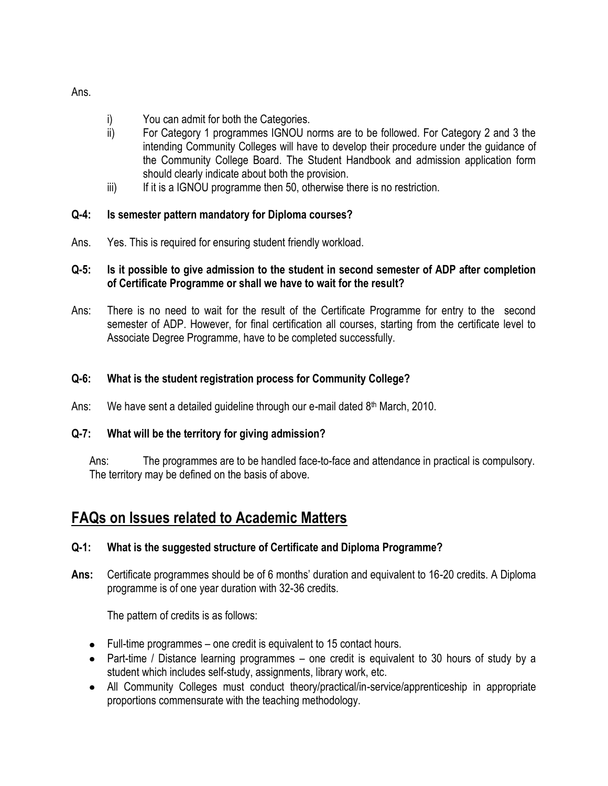- i) You can admit for both the Categories.
- ii) For Category 1 programmes IGNOU norms are to be followed. For Category 2 and 3 the intending Community Colleges will have to develop their procedure under the guidance of the Community College Board. The Student Handbook and admission application form should clearly indicate about both the provision.
- iii) If it is a IGNOU programme then 50, otherwise there is no restriction.

# **Q-4: Is semester pattern mandatory for Diploma courses?**

Ans. Yes. This is required for ensuring student friendly workload.

# **Q-5: Is it possible to give admission to the student in second semester of ADP after completion of Certificate Programme or shall we have to wait for the result?**

Ans: There is no need to wait for the result of the Certificate Programme for entry to the second semester of ADP. However, for final certification all courses, starting from the certificate level to Associate Degree Programme, have to be completed successfully.

# **Q-6: What is the student registration process for Community College?**

Ans: We have sent a detailed quideline through our e-mail dated 8<sup>th</sup> March, 2010.

# **Q-7: What will be the territory for giving admission?**

Ans: The programmes are to be handled face-to-face and attendance in practical is compulsory. The territory may be defined on the basis of above.

# **FAQs on Issues related to Academic Matters**

# **Q-1: What is the suggested structure of Certificate and Diploma Programme?**

Ans: Certificate programmes should be of 6 months' duration and equivalent to 16-20 credits. A Diploma programme is of one year duration with 32-36 credits.

The pattern of credits is as follows:

- Full-time programmes one credit is equivalent to 15 contact hours.
- Part-time / Distance learning programmes one credit is equivalent to 30 hours of study by a student which includes self-study, assignments, library work, etc.
- All Community Colleges must conduct theory/practical/in-service/apprenticeship in appropriate proportions commensurate with the teaching methodology.

Ans.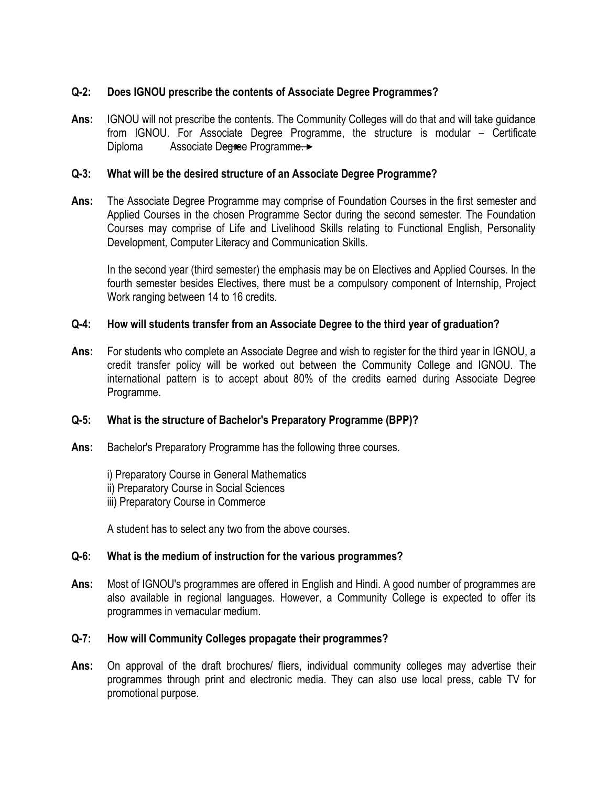# **Q-2: Does IGNOU prescribe the contents of Associate Degree Programmes?**

**Ans:** IGNOU will not prescribe the contents. The Community Colleges will do that and will take guidance from IGNOU. For Associate Degree Programme, the structure is modular – Certificate Diploma Associate Degree Programme.

# **Q-3: What will be the desired structure of an Associate Degree Programme?**

**Ans:** The Associate Degree Programme may comprise of Foundation Courses in the first semester and Applied Courses in the chosen Programme Sector during the second semester. The Foundation Courses may comprise of Life and Livelihood Skills relating to Functional English, Personality Development, Computer Literacy and Communication Skills.

In the second year (third semester) the emphasis may be on Electives and Applied Courses. In the fourth semester besides Electives, there must be a compulsory component of Internship, Project Work ranging between 14 to 16 credits.

# **Q-4: How will students transfer from an Associate Degree to the third year of graduation?**

**Ans:** For students who complete an Associate Degree and wish to register for the third year in IGNOU, a credit transfer policy will be worked out between the Community College and IGNOU. The international pattern is to accept about 80% of the credits earned during Associate Degree Programme.

# **Q-5: What is the structure of Bachelor's Preparatory Programme (BPP)?**

**Ans:** Bachelor's Preparatory Programme has the following three courses.

i) Preparatory Course in General Mathematics ii) Preparatory Course in Social Sciences iii) Preparatory Course in Commerce

A student has to select any two from the above courses.

#### **Q-6: What is the medium of instruction for the various programmes?**

**Ans:** Most of IGNOU's programmes are offered in English and Hindi. A good number of programmes are also available in regional languages. However, a Community College is expected to offer its programmes in vernacular medium.

# **Q-7: How will Community Colleges propagate their programmes?**

**Ans:** On approval of the draft brochures/ fliers, individual community colleges may advertise their programmes through print and electronic media. They can also use local press, cable TV for promotional purpose.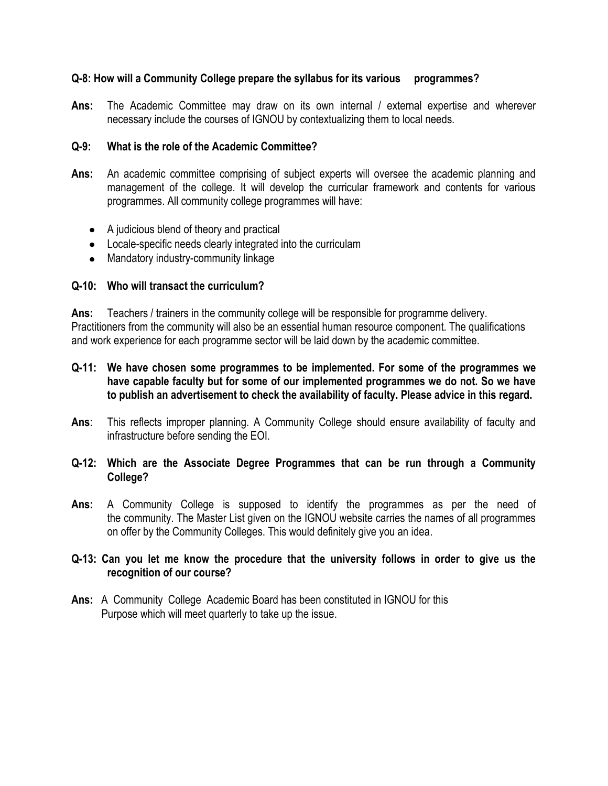# **Q-8: How will a Community College prepare the syllabus for its various programmes?**

Ans: The Academic Committee may draw on its own internal / external expertise and wherever necessary include the courses of IGNOU by contextualizing them to local needs.

# **Q-9: What is the role of the Academic Committee?**

- **Ans:** An academic committee comprising of subject experts will oversee the academic planning and management of the college. It will develop the curricular framework and contents for various programmes. All community college programmes will have:
	- A judicious blend of theory and practical
	- Locale-specific needs clearly integrated into the curriculam
	- Mandatory industry-community linkage

# **Q-10: Who will transact the curriculum?**

**Ans:** Teachers / trainers in the community college will be responsible for programme delivery. Practitioners from the community will also be an essential human resource component. The qualifications and work experience for each programme sector will be laid down by the academic committee.

- **Q-11: We have chosen some programmes to be implemented. For some of the programmes we have capable faculty but for some of our implemented programmes we do not. So we have to publish an advertisement to check the availability of faculty. Please advice in this regard.**
- **Ans**: This reflects improper planning. A Community College should ensure availability of faculty and infrastructure before sending the EOI.

# **Q-12: Which are the Associate Degree Programmes that can be run through a Community College?**

**Ans:** A Community College is supposed to identify the programmes as per the need of the community. The Master List given on the IGNOU website carries the names of all programmes on offer by the Community Colleges. This would definitely give you an idea.

# **Q-13: Can you let me know the procedure that the university follows in order to give us the recognition of our course?**

**Ans:** A Community College Academic Board has been constituted in IGNOU for this Purpose which will meet quarterly to take up the issue.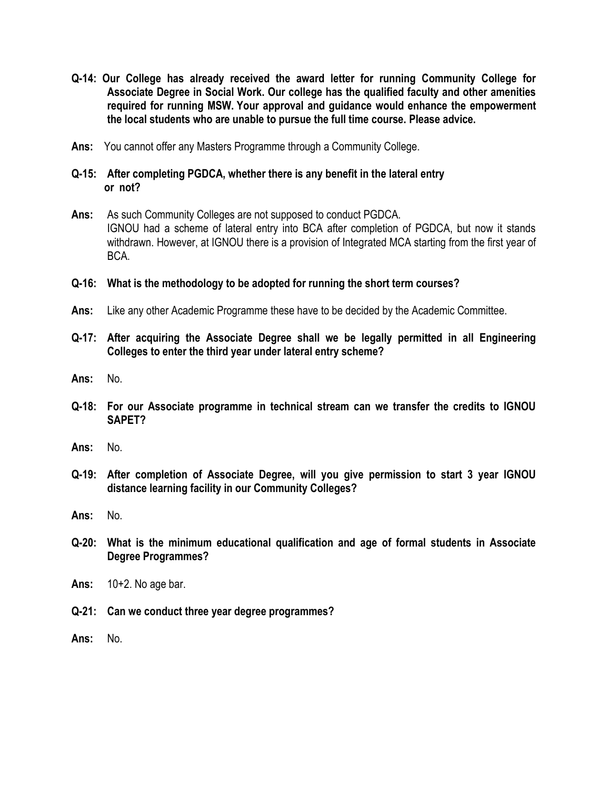- **Q-14: Our College has already received the award letter for running Community College for Associate Degree in Social Work. Our college has the qualified faculty and other amenities required for running MSW. Your approval and guidance would enhance the empowerment the local students who are unable to pursue the full time course. Please advice.**
- **Ans:** You cannot offer any Masters Programme through a Community College.
- **Q-15: After completing PGDCA, whether there is any benefit in the lateral entry or not?**
- **Ans:** As such Community Colleges are not supposed to conduct PGDCA. IGNOU had a scheme of lateral entry into BCA after completion of PGDCA, but now it stands withdrawn. However, at IGNOU there is a provision of Integrated MCA starting from the first year of BCA.
- **Q-16: What is the methodology to be adopted for running the short term courses?**
- **Ans:** Like any other Academic Programme these have to be decided by the Academic Committee.
- **Q-17: After acquiring the Associate Degree shall we be legally permitted in all Engineering Colleges to enter the third year under lateral entry scheme?**
- **Ans:** No.
- **Q-18: For our Associate programme in technical stream can we transfer the credits to IGNOU SAPET?**
- **Ans:** No.
- **Q-19: After completion of Associate Degree, will you give permission to start 3 year IGNOU distance learning facility in our Community Colleges?**
- **Ans:** No.
- **Q-20: What is the minimum educational qualification and age of formal students in Associate Degree Programmes?**
- **Ans:** 10+2. No age bar.
- **Q-21: Can we conduct three year degree programmes?**
- **Ans:** No.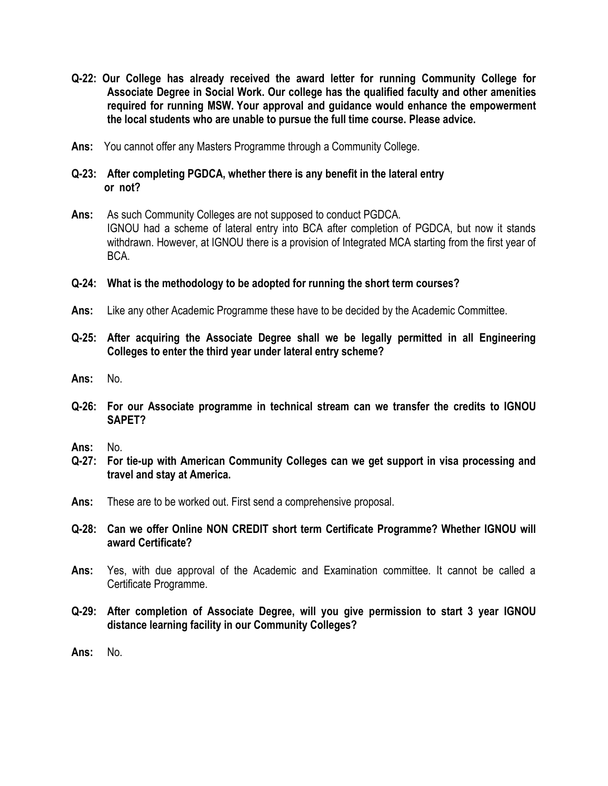- **Q-22: Our College has already received the award letter for running Community College for Associate Degree in Social Work. Our college has the qualified faculty and other amenities required for running MSW. Your approval and guidance would enhance the empowerment the local students who are unable to pursue the full time course. Please advice.**
- **Ans:** You cannot offer any Masters Programme through a Community College.
- **Q-23: After completing PGDCA, whether there is any benefit in the lateral entry or not?**
- **Ans:** As such Community Colleges are not supposed to conduct PGDCA. IGNOU had a scheme of lateral entry into BCA after completion of PGDCA, but now it stands withdrawn. However, at IGNOU there is a provision of Integrated MCA starting from the first year of BCA.
- **Q-24: What is the methodology to be adopted for running the short term courses?**
- **Ans:** Like any other Academic Programme these have to be decided by the Academic Committee.
- **Q-25: After acquiring the Associate Degree shall we be legally permitted in all Engineering Colleges to enter the third year under lateral entry scheme?**
- **Ans:** No.
- **Q-26: For our Associate programme in technical stream can we transfer the credits to IGNOU SAPET?**
- **Ans:** No.
- **Q-27: For tie-up with American Community Colleges can we get support in visa processing and travel and stay at America.**
- **Ans:** These are to be worked out. First send a comprehensive proposal.
- **Q-28: Can we offer Online NON CREDIT short term Certificate Programme? Whether IGNOU will award Certificate?**
- **Ans:** Yes, with due approval of the Academic and Examination committee. It cannot be called a Certificate Programme.
- **Q-29: After completion of Associate Degree, will you give permission to start 3 year IGNOU distance learning facility in our Community Colleges?**
- **Ans:** No.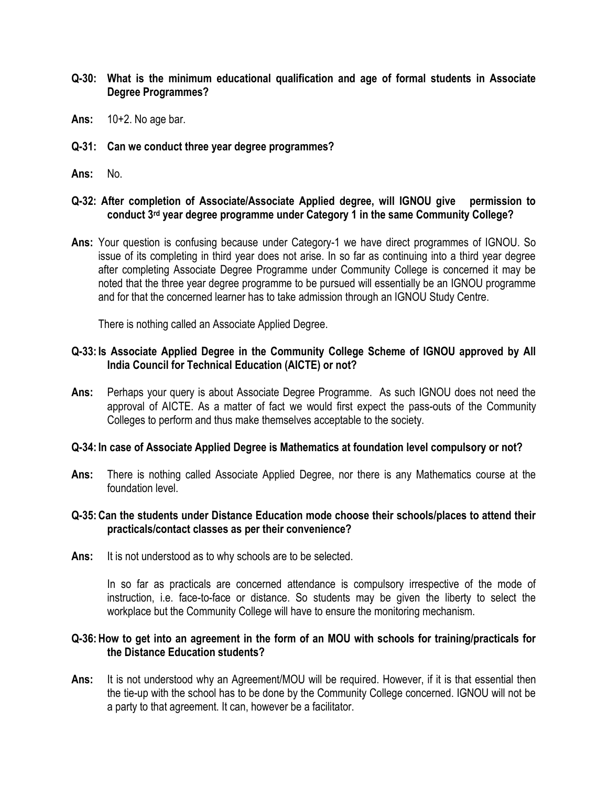- **Q-30: What is the minimum educational qualification and age of formal students in Associate Degree Programmes?**
- **Ans:** 10+2. No age bar.
- **Q-31: Can we conduct three year degree programmes?**
- **Ans:** No.

#### **Q-32: After completion of Associate/Associate Applied degree, will IGNOU give permission to conduct 3rd year degree programme under Category 1 in the same Community College?**

**Ans:** Your question is confusing because under Category-1 we have direct programmes of IGNOU. So issue of its completing in third year does not arise. In so far as continuing into a third year degree after completing Associate Degree Programme under Community College is concerned it may be noted that the three year degree programme to be pursued will essentially be an IGNOU programme and for that the concerned learner has to take admission through an IGNOU Study Centre.

There is nothing called an Associate Applied Degree.

# **Q-33: Is Associate Applied Degree in the Community College Scheme of IGNOU approved by All India Council for Technical Education (AICTE) or not?**

**Ans:** Perhaps your query is about Associate Degree Programme. As such IGNOU does not need the approval of AICTE. As a matter of fact we would first expect the pass-outs of the Community Colleges to perform and thus make themselves acceptable to the society.

#### **Q-34: In case of Associate Applied Degree is Mathematics at foundation level compulsory or not?**

**Ans:** There is nothing called Associate Applied Degree, nor there is any Mathematics course at the foundation level.

# **Q-35:Can the students under Distance Education mode choose their schools/places to attend their practicals/contact classes as per their convenience?**

**Ans:** It is not understood as to why schools are to be selected.

In so far as practicals are concerned attendance is compulsory irrespective of the mode of instruction, i.e. face-to-face or distance. So students may be given the liberty to select the workplace but the Community College will have to ensure the monitoring mechanism.

# **Q-36:How to get into an agreement in the form of an MOU with schools for training/practicals for the Distance Education students?**

**Ans:** It is not understood why an Agreement/MOU will be required. However, if it is that essential then the tie-up with the school has to be done by the Community College concerned. IGNOU will not be a party to that agreement. It can, however be a facilitator.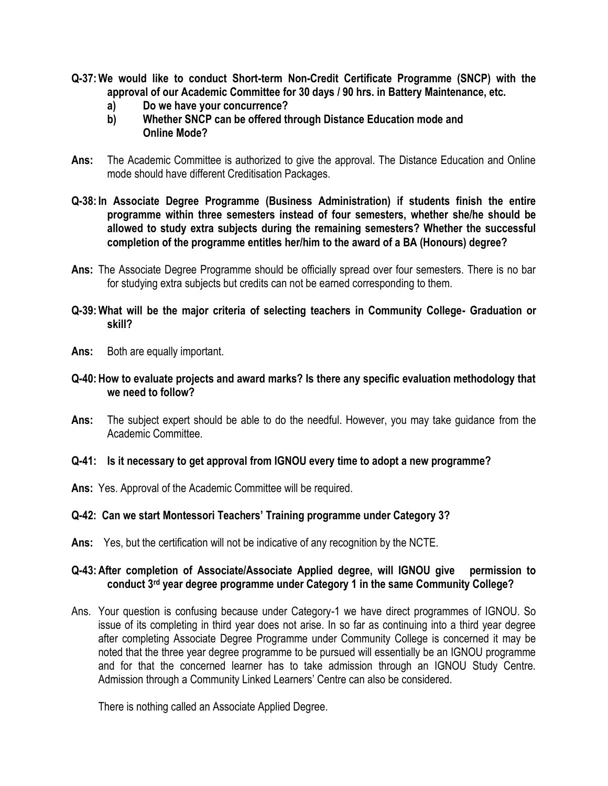- **Q-37:We would like to conduct Short-term Non-Credit Certificate Programme (SNCP) with the approval of our Academic Committee for 30 days / 90 hrs. in Battery Maintenance, etc.**
	- **a) Do we have your concurrence?**
	- **b) Whether SNCP can be offered through Distance Education mode and Online Mode?**
- **Ans:** The Academic Committee is authorized to give the approval. The Distance Education and Online mode should have different Creditisation Packages.
- **Q-38: In Associate Degree Programme (Business Administration) if students finish the entire programme within three semesters instead of four semesters, whether she/he should be allowed to study extra subjects during the remaining semesters? Whether the successful completion of the programme entitles her/him to the award of a BA (Honours) degree?**
- **Ans:** The Associate Degree Programme should be officially spread over four semesters. There is no bar for studying extra subjects but credits can not be earned corresponding to them.
- **Q-39:What will be the major criteria of selecting teachers in Community College- Graduation or skill?**
- **Ans:** Both are equally important.
- **Q-40:How to evaluate projects and award marks? Is there any specific evaluation methodology that we need to follow?**
- **Ans:** The subject expert should be able to do the needful. However, you may take guidance from the Academic Committee.

#### **Q-41: Is it necessary to get approval from IGNOU every time to adopt a new programme?**

**Ans:** Yes. Approval of the Academic Committee will be required.

#### **Q-42: Can we start Montessori Teachers' Training programme under Category 3?**

**Ans:** Yes, but the certification will not be indicative of any recognition by the NCTE.

#### **Q-43:After completion of Associate/Associate Applied degree, will IGNOU give permission to conduct 3rd year degree programme under Category 1 in the same Community College?**

Ans. Your question is confusing because under Category-1 we have direct programmes of IGNOU. So issue of its completing in third year does not arise. In so far as continuing into a third year degree after completing Associate Degree Programme under Community College is concerned it may be noted that the three year degree programme to be pursued will essentially be an IGNOU programme and for that the concerned learner has to take admission through an IGNOU Study Centre. Admission through a Community Linked Learners" Centre can also be considered.

There is nothing called an Associate Applied Degree.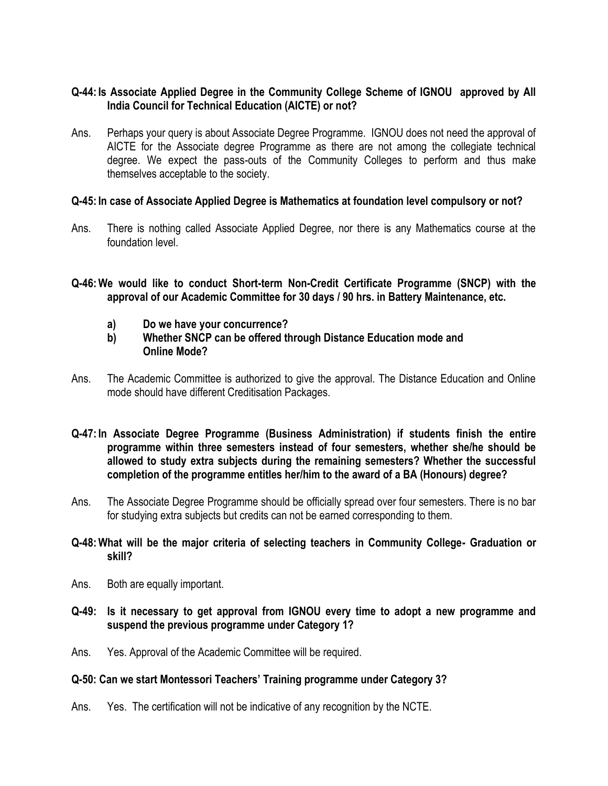# **Q-44: Is Associate Applied Degree in the Community College Scheme of IGNOU approved by All India Council for Technical Education (AICTE) or not?**

Ans. Perhaps your query is about Associate Degree Programme. IGNOU does not need the approval of AICTE for the Associate degree Programme as there are not among the collegiate technical degree. We expect the pass-outs of the Community Colleges to perform and thus make themselves acceptable to the society.

#### **Q-45: In case of Associate Applied Degree is Mathematics at foundation level compulsory or not?**

Ans. There is nothing called Associate Applied Degree, nor there is any Mathematics course at the foundation level.

**Q-46:We would like to conduct Short-term Non-Credit Certificate Programme (SNCP) with the approval of our Academic Committee for 30 days / 90 hrs. in Battery Maintenance, etc.**

- **a) Do we have your concurrence?**
- **b) Whether SNCP can be offered through Distance Education mode and Online Mode?**
- Ans. The Academic Committee is authorized to give the approval. The Distance Education and Online mode should have different Creditisation Packages.
- **Q-47: In Associate Degree Programme (Business Administration) if students finish the entire programme within three semesters instead of four semesters, whether she/he should be allowed to study extra subjects during the remaining semesters? Whether the successful completion of the programme entitles her/him to the award of a BA (Honours) degree?**
- Ans. The Associate Degree Programme should be officially spread over four semesters. There is no bar for studying extra subjects but credits can not be earned corresponding to them.

# **Q-48:What will be the major criteria of selecting teachers in Community College- Graduation or skill?**

- Ans. Both are equally important.
- **Q-49: Is it necessary to get approval from IGNOU every time to adopt a new programme and suspend the previous programme under Category 1?**
- Ans. Yes. Approval of the Academic Committee will be required.

# **Q-50: Can we start Montessori Teachers' Training programme under Category 3?**

Ans. Yes. The certification will not be indicative of any recognition by the NCTE.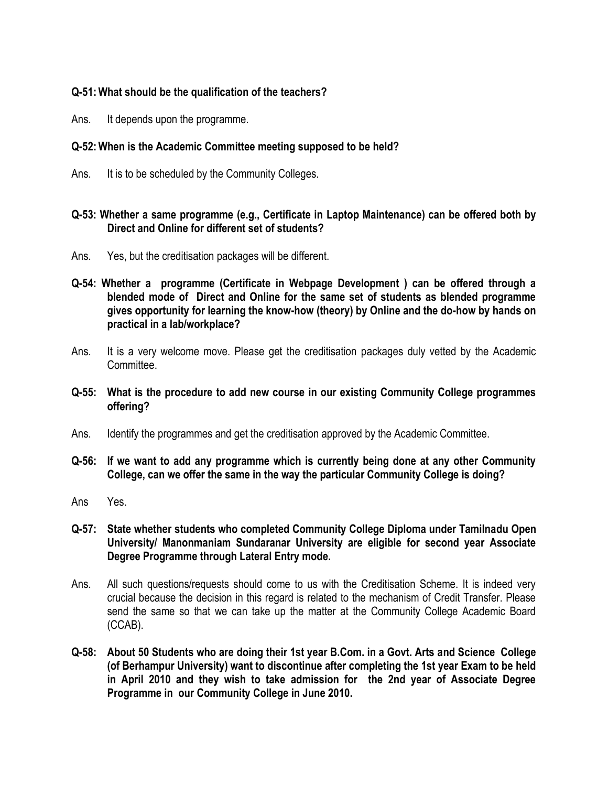# **Q-51:What should be the qualification of the teachers?**

Ans. It depends upon the programme.

# **Q-52:When is the Academic Committee meeting supposed to be held?**

Ans. It is to be scheduled by the Community Colleges.

# **Q-53: Whether a same programme (e.g., Certificate in Laptop Maintenance) can be offered both by Direct and Online for different set of students?**

- Ans. Yes, but the creditisation packages will be different.
- **Q-54: Whether a programme (Certificate in Webpage Development ) can be offered through a blended mode of Direct and Online for the same set of students as blended programme gives opportunity for learning the know-how (theory) by Online and the do-how by hands on practical in a lab/workplace?**
- Ans. It is a very welcome move. Please get the creditisation packages duly vetted by the Academic Committee.
- **Q-55: What is the procedure to add new course in our existing Community College programmes offering?**
- Ans. Identify the programmes and get the creditisation approved by the Academic Committee.
- **Q-56: If we want to add any programme which is currently being done at any other Community College, can we offer the same in the way the particular Community College is doing?**
- Ans Yes.
- **Q-57: State whether students who completed Community College Diploma under Tamilnadu Open University/ Manonmaniam Sundaranar University are eligible for second year Associate Degree Programme through Lateral Entry mode.**
- Ans. All such questions/requests should come to us with the Creditisation Scheme. It is indeed very crucial because the decision in this regard is related to the mechanism of Credit Transfer. Please send the same so that we can take up the matter at the Community College Academic Board (CCAB).
- **Q-58: About 50 Students who are doing their 1st year B.Com. in a Govt. Arts and Science College (of Berhampur University) want to discontinue after completing the 1st year Exam to be held in April 2010 and they wish to take admission for the 2nd year of Associate Degree Programme in our Community College in June 2010.**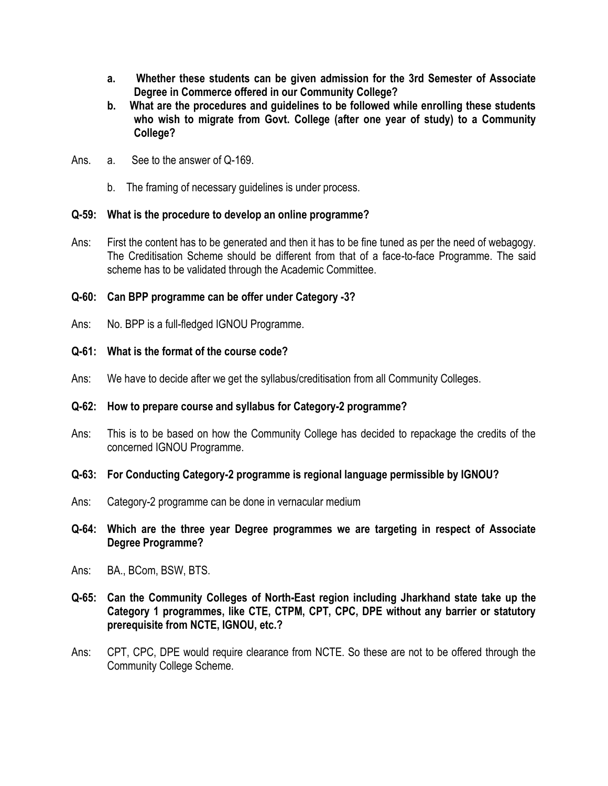- **a. Whether these students can be given admission for the 3rd Semester of Associate Degree in Commerce offered in our Community College?**
- **b. What are the procedures and guidelines to be followed while enrolling these students who wish to migrate from Govt. College (after one year of study) to a Community College?**
- Ans. a. See to the answer of Q-169.
	- b. The framing of necessary guidelines is under process.

# **Q-59: What is the procedure to develop an online programme?**

Ans: First the content has to be generated and then it has to be fine tuned as per the need of webagogy. The Creditisation Scheme should be different from that of a face-to-face Programme. The said scheme has to be validated through the Academic Committee.

# **Q-60: Can BPP programme can be offer under Category -3?**

Ans: No. BPP is a full-fledged IGNOU Programme.

# **Q-61: What is the format of the course code?**

Ans: We have to decide after we get the syllabus/creditisation from all Community Colleges.

# **Q-62: How to prepare course and syllabus for Category-2 programme?**

Ans: This is to be based on how the Community College has decided to repackage the credits of the concerned IGNOU Programme.

#### **Q-63: For Conducting Category-2 programme is regional language permissible by IGNOU?**

- Ans: Category-2 programme can be done in vernacular medium
- **Q-64: Which are the three year Degree programmes we are targeting in respect of Associate Degree Programme?**
- Ans: BA., BCom, BSW, BTS.
- **Q-65: Can the Community Colleges of North-East region including Jharkhand state take up the Category 1 programmes, like CTE, CTPM, CPT, CPC, DPE without any barrier or statutory prerequisite from NCTE, IGNOU, etc.?**
- Ans: CPT, CPC, DPE would require clearance from NCTE. So these are not to be offered through the Community College Scheme.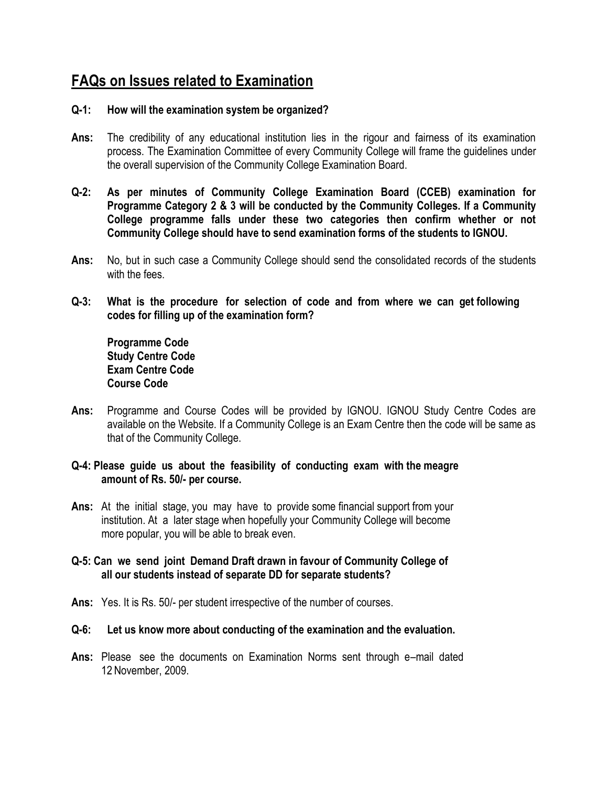# **FAQs on Issues related to Examination**

# **Q-1: How will the examination system be organized?**

- **Ans:** The credibility of any educational institution lies in the rigour and fairness of its examination process. The Examination Committee of every Community College will frame the guidelines under the overall supervision of the Community College Examination Board.
- **Q-2: As per minutes of Community College Examination Board (CCEB) examination for Programme Category 2 & 3 will be conducted by the Community Colleges. If a Community College programme falls under these two categories then confirm whether or not Community College should have to send examination forms of the students to IGNOU.**
- **Ans:** No, but in such case a Community College should send the consolidated records of the students with the fees.
- **Q-3: What is the procedure for selection of code and from where we can get following codes for filling up of the examination form?**

**Programme Code Study Centre Code Exam Centre Code Course Code**

**Ans:** Programme and Course Codes will be provided by IGNOU. IGNOU Study Centre Codes are available on the Website. If a Community College is an Exam Centre then the code will be same as that of the Community College.

# **Q-4: Please guide us about the feasibility of conducting exam with the meagre amount of Rs. 50/- per course.**

**Ans:** At the initial stage, you may have to provide some financial support from your institution. At a later stage when hopefully your Community College will become more popular, you will be able to break even.

# **Q-5: Can we send joint Demand Draft drawn in favour of Community College of all our students instead of separate DD for separate students?**

- **Ans:** Yes. It is Rs. 50/- per student irrespective of the number of courses.
- **Q-6: Let us know more about conducting of the examination and the evaluation.**
- **Ans:** Please see the documents on Examination Norms sent through e–mail dated 12 November, 2009.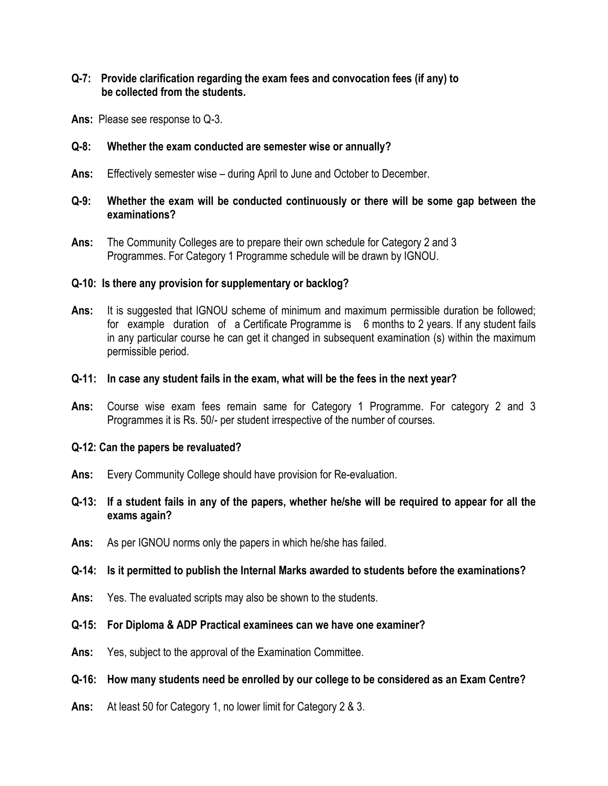# **Q-7: Provide clarification regarding the exam fees and convocation fees (if any) to be collected from the students.**

**Ans:** Please see response to Q-3.

## **Q-8: Whether the exam conducted are semester wise or annually?**

**Ans:** Effectively semester wise – during April to June and October to December.

# **Q-9: Whether the exam will be conducted continuously or there will be some gap between the examinations?**

**Ans:** The Community Colleges are to prepare their own schedule for Category 2 and 3 Programmes. For Category 1 Programme schedule will be drawn by IGNOU.

#### **Q-10: Is there any provision for supplementary or backlog?**

**Ans:** It is suggested that IGNOU scheme of minimum and maximum permissible duration be followed; for example duration of a Certificate Programme is 6 months to 2 years. If any student fails in any particular course he can get it changed in subsequent examination (s) within the maximum permissible period.

#### **Q-11: In case any student fails in the exam, what will be the fees in the next year?**

**Ans:** Course wise exam fees remain same for Category 1 Programme. For category 2 and 3 Programmes it is Rs. 50/- per student irrespective of the number of courses.

#### **Q-12: Can the papers be revaluated?**

- **Ans:** Every Community College should have provision for Re-evaluation.
- **Q-13: If a student fails in any of the papers, whether he/she will be required to appear for all the exams again?**
- **Ans:** As per IGNOU norms only the papers in which he/she has failed.

#### **Q-14: Is it permitted to publish the Internal Marks awarded to students before the examinations?**

**Ans:** Yes. The evaluated scripts may also be shown to the students.

## **Q-15: For Diploma & ADP Practical examinees can we have one examiner?**

**Ans:** Yes, subject to the approval of the Examination Committee.

# **Q-16: How many students need be enrolled by our college to be considered as an Exam Centre?**

**Ans:** At least 50 for Category 1, no lower limit for Category 2 & 3.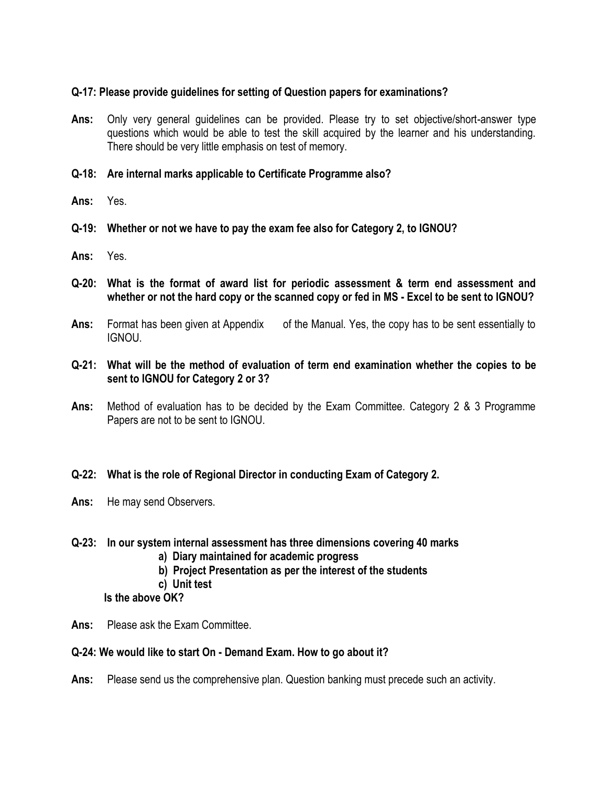# **Q-17: Please provide guidelines for setting of Question papers for examinations?**

- **Ans:** Only very general guidelines can be provided. Please try to set objective/short-answer type questions which would be able to test the skill acquired by the learner and his understanding. There should be very little emphasis on test of memory.
- **Q-18: Are internal marks applicable to Certificate Programme also?**
- **Ans:** Yes.
- **Q-19: Whether or not we have to pay the exam fee also for Category 2, to IGNOU?**
- **Ans:** Yes.
- **Q-20: What is the format of award list for periodic assessment & term end assessment and whether or not the hard copy or the scanned copy or fed in MS - Excel to be sent to IGNOU?**
- **Ans:** Format has been given at Appendix of the Manual. Yes, the copy has to be sent essentially to IGNOU.
- **Q-21: What will be the method of evaluation of term end examination whether the copies to be sent to IGNOU for Category 2 or 3?**
- **Ans:** Method of evaluation has to be decided by the Exam Committee. Category 2 & 3 Programme Papers are not to be sent to IGNOU.
- **Q-22: What is the role of Regional Director in conducting Exam of Category 2.**
- **Ans:** He may send Observers.
- **Q-23: In our system internal assessment has three dimensions covering 40 marks**
	- **a) Diary maintained for academic progress**
	- **b) Project Presentation as per the interest of the students**
	- **c) Unit test**
	- **Is the above OK?**
- **Ans:** Please ask the Exam Committee.

# **Q-24: We would like to start On - Demand Exam. How to go about it?**

**Ans:** Please send us the comprehensive plan. Question banking must precede such an activity.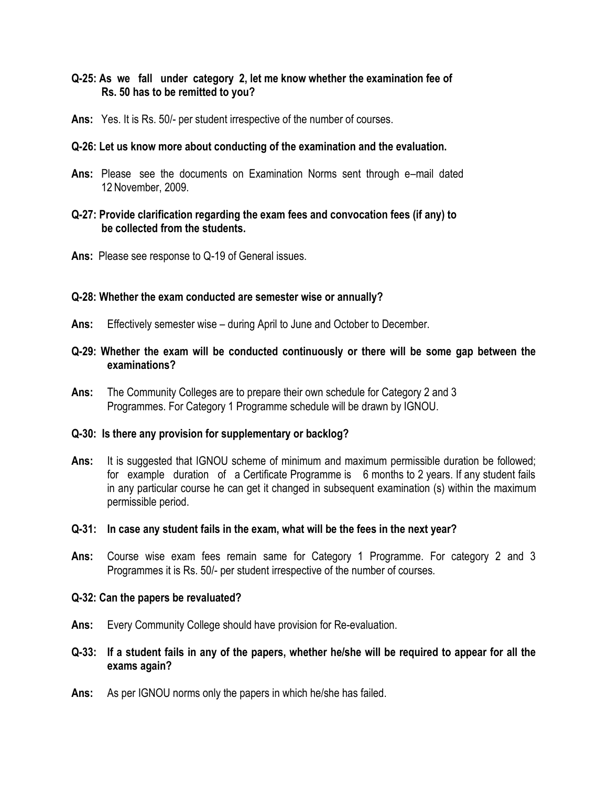# **Q-25: As we fall under category 2, let me know whether the examination fee of Rs. 50 has to be remitted to you?**

**Ans:** Yes. It is Rs. 50/- per student irrespective of the number of courses.

#### **Q-26: Let us know more about conducting of the examination and the evaluation.**

**Ans:** Please see the documents on Examination Norms sent through e–mail dated 12 November, 2009.

## **Q-27: Provide clarification regarding the exam fees and convocation fees (if any) to be collected from the students.**

**Ans:** Please see response to Q-19 of General issues.

#### **Q-28: Whether the exam conducted are semester wise or annually?**

- **Ans:** Effectively semester wise during April to June and October to December.
- **Q-29: Whether the exam will be conducted continuously or there will be some gap between the examinations?**
- **Ans:** The Community Colleges are to prepare their own schedule for Category 2 and 3 Programmes. For Category 1 Programme schedule will be drawn by IGNOU.

#### **Q-30: Is there any provision for supplementary or backlog?**

**Ans:** It is suggested that IGNOU scheme of minimum and maximum permissible duration be followed; for example duration of a Certificate Programme is 6 months to 2 years. If any student fails in any particular course he can get it changed in subsequent examination (s) within the maximum permissible period.

#### **Q-31: In case any student fails in the exam, what will be the fees in the next year?**

**Ans:** Course wise exam fees remain same for Category 1 Programme. For category 2 and 3 Programmes it is Rs. 50/- per student irrespective of the number of courses.

#### **Q-32: Can the papers be revaluated?**

- **Ans:** Every Community College should have provision for Re-evaluation.
- **Q-33: If a student fails in any of the papers, whether he/she will be required to appear for all the exams again?**
- **Ans:** As per IGNOU norms only the papers in which he/she has failed.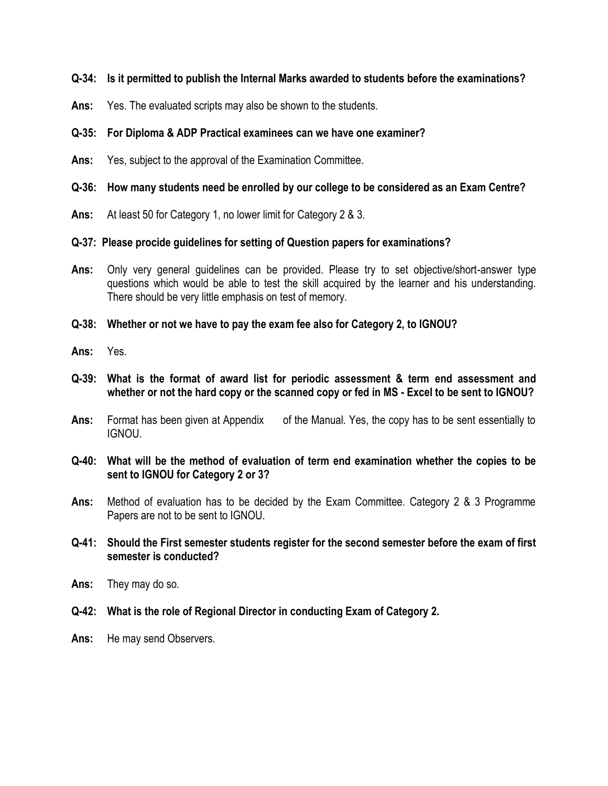# **Q-34: Is it permitted to publish the Internal Marks awarded to students before the examinations?**

**Ans:** Yes. The evaluated scripts may also be shown to the students.

# **Q-35: For Diploma & ADP Practical examinees can we have one examiner?**

**Ans:** Yes, subject to the approval of the Examination Committee.

# **Q-36: How many students need be enrolled by our college to be considered as an Exam Centre?**

**Ans:** At least 50 for Category 1, no lower limit for Category 2 & 3.

# **Q-37: Please procide guidelines for setting of Question papers for examinations?**

- **Ans:** Only very general guidelines can be provided. Please try to set objective/short-answer type questions which would be able to test the skill acquired by the learner and his understanding. There should be very little emphasis on test of memory.
- **Q-38: Whether or not we have to pay the exam fee also for Category 2, to IGNOU?**
- **Ans:** Yes.
- **Q-39: What is the format of award list for periodic assessment & term end assessment and whether or not the hard copy or the scanned copy or fed in MS - Excel to be sent to IGNOU?**
- Ans: Format has been given at Appendix of the Manual. Yes, the copy has to be sent essentially to IGNOU.
- **Q-40: What will be the method of evaluation of term end examination whether the copies to be sent to IGNOU for Category 2 or 3?**
- **Ans:** Method of evaluation has to be decided by the Exam Committee. Category 2 & 3 Programme Papers are not to be sent to IGNOU.
- **Q-41: Should the First semester students register for the second semester before the exam of first semester is conducted?**
- **Ans:** They may do so.
- **Q-42: What is the role of Regional Director in conducting Exam of Category 2.**
- **Ans:** He may send Observers.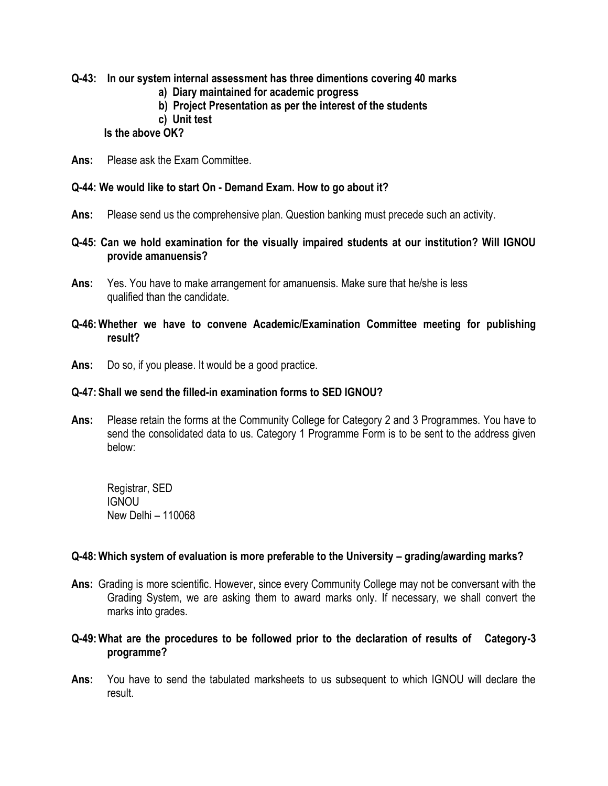**Q-43: In our system internal assessment has three dimentions covering 40 marks**

- **a) Diary maintained for academic progress**
- **b) Project Presentation as per the interest of the students**
- **c) Unit test**

## **Is the above OK?**

**Ans:** Please ask the Exam Committee.

# **Q-44: We would like to start On - Demand Exam. How to go about it?**

- **Ans:** Please send us the comprehensive plan. Question banking must precede such an activity.
- **Q-45: Can we hold examination for the visually impaired students at our institution? Will IGNOU provide amanuensis?**
- **Ans:** Yes. You have to make arrangement for amanuensis. Make sure that he/she is less qualified than the candidate.
- **Q-46:Whether we have to convene Academic/Examination Committee meeting for publishing result?**
- **Ans:** Do so, if you please. It would be a good practice.

## **Q-47: Shall we send the filled-in examination forms to SED IGNOU?**

**Ans:** Please retain the forms at the Community College for Category 2 and 3 Programmes. You have to send the consolidated data to us. Category 1 Programme Form is to be sent to the address given below:

Registrar, SED IGNOU New Delhi – 110068

#### **Q-48:Which system of evaluation is more preferable to the University – grading/awarding marks?**

- **Ans:** Grading is more scientific. However, since every Community College may not be conversant with the Grading System, we are asking them to award marks only. If necessary, we shall convert the marks into grades.
- **Q-49:What are the procedures to be followed prior to the declaration of results of Category-3 programme?**
- **Ans:** You have to send the tabulated marksheets to us subsequent to which IGNOU will declare the result.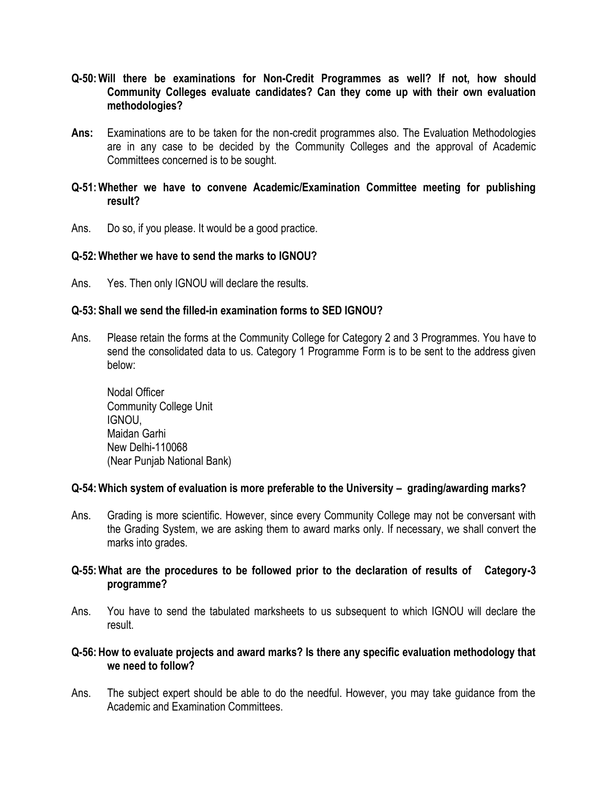- **Q-50:Will there be examinations for Non-Credit Programmes as well? If not, how should Community Colleges evaluate candidates? Can they come up with their own evaluation methodologies?**
- **Ans:** Examinations are to be taken for the non-credit programmes also. The Evaluation Methodologies are in any case to be decided by the Community Colleges and the approval of Academic Committees concerned is to be sought.

# **Q-51:Whether we have to convene Academic/Examination Committee meeting for publishing result?**

Ans. Do so, if you please. It would be a good practice.

# **Q-52:Whether we have to send the marks to IGNOU?**

Ans. Yes. Then only IGNOU will declare the results.

# **Q-53: Shall we send the filled-in examination forms to SED IGNOU?**

Ans. Please retain the forms at the Community College for Category 2 and 3 Programmes. You have to send the consolidated data to us. Category 1 Programme Form is to be sent to the address given below:

Nodal Officer Community College Unit IGNOU, Maidan Garhi New Delhi-110068 (Near Punjab National Bank)

#### **Q-54:Which system of evaluation is more preferable to the University – grading/awarding marks?**

Ans. Grading is more scientific. However, since every Community College may not be conversant with the Grading System, we are asking them to award marks only. If necessary, we shall convert the marks into grades.

# **Q-55:What are the procedures to be followed prior to the declaration of results of Category-3 programme?**

Ans. You have to send the tabulated marksheets to us subsequent to which IGNOU will declare the result.

# **Q-56:How to evaluate projects and award marks? Is there any specific evaluation methodology that we need to follow?**

Ans. The subject expert should be able to do the needful. However, you may take guidance from the Academic and Examination Committees.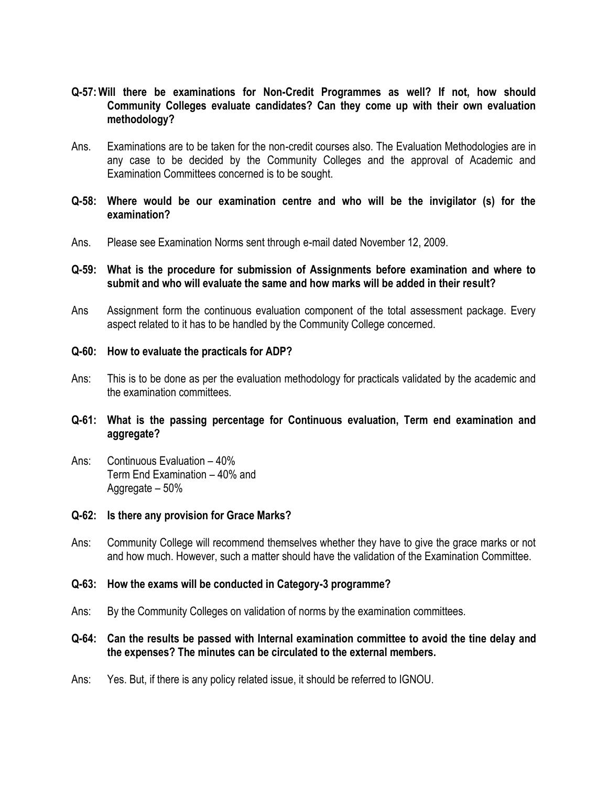- **Q-57:Will there be examinations for Non-Credit Programmes as well? If not, how should Community Colleges evaluate candidates? Can they come up with their own evaluation methodology?**
- Ans. Examinations are to be taken for the non-credit courses also. The Evaluation Methodologies are in any case to be decided by the Community Colleges and the approval of Academic and Examination Committees concerned is to be sought.
- **Q-58: Where would be our examination centre and who will be the invigilator (s) for the examination?**
- Ans. Please see Examination Norms sent through e-mail dated November 12, 2009.
- **Q-59: What is the procedure for submission of Assignments before examination and where to submit and who will evaluate the same and how marks will be added in their result?**
- Ans Assignment form the continuous evaluation component of the total assessment package. Every aspect related to it has to be handled by the Community College concerned.
- **Q-60: How to evaluate the practicals for ADP?**
- Ans: This is to be done as per the evaluation methodology for practicals validated by the academic and the examination committees.
- **Q-61: What is the passing percentage for Continuous evaluation, Term end examination and aggregate?**
- Ans: Continuous Evaluation 40% Term End Examination – 40% and Aggregate – 50%

#### **Q-62: Is there any provision for Grace Marks?**

Ans: Community College will recommend themselves whether they have to give the grace marks or not and how much. However, such a matter should have the validation of the Examination Committee.

#### **Q-63: How the exams will be conducted in Category-3 programme?**

Ans: By the Community Colleges on validation of norms by the examination committees.

# **Q-64: Can the results be passed with Internal examination committee to avoid the tine delay and the expenses? The minutes can be circulated to the external members.**

Ans: Yes. But, if there is any policy related issue, it should be referred to IGNOU.